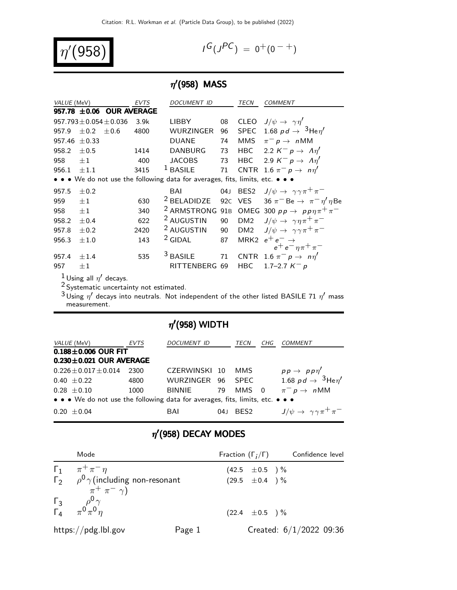$$
\eta'(958)
$$

$$
G(J^{PC}) = 0^+(0^{-+})
$$

### $\eta'(958)$  MASS

| VALUE (MeV) |                                                                               |                               | <b>EVTS</b> | <b>DOCUMENT ID</b>     |    | TECN            | <b>COMMENT</b>                                                               |  |
|-------------|-------------------------------------------------------------------------------|-------------------------------|-------------|------------------------|----|-----------------|------------------------------------------------------------------------------|--|
|             |                                                                               | $957.78 \pm 0.06$ OUR AVERAGE |             |                        |    |                 |                                                                              |  |
|             |                                                                               | $957.793 \pm 0.054 \pm 0.036$ | 3.9k        | LIBBY                  | 08 |                 | CLEO $J/\psi \rightarrow \gamma \eta'$                                       |  |
| 957.9       | $\pm 0.2$                                                                     | $\pm 0.6$                     | 4800        | <b>WURZINGER</b>       | 96 | <b>SPEC</b>     | 1.68 pd $\rightarrow$ $^{3}$ He $\eta^{\prime}$                              |  |
| 957.46      | $\pm 0.33$                                                                    |                               |             | <b>DUANE</b>           | 74 | MMS             | $\pi^- p \to n$ MM                                                           |  |
| 958.2       | ±0.5                                                                          |                               | 1414        | <b>DANBURG</b>         | 73 |                 | HBC 2.2 $K^- p \rightarrow \Lambda \eta'$                                    |  |
| 958         | $+1$                                                                          |                               | 400         | <b>JACOBS</b>          | 73 |                 | HBC 2.9 $K^- p \rightarrow \Lambda \eta'$                                    |  |
| 956.1       | ±1.1                                                                          |                               | 3415        | $1$ BASILE             | 71 |                 | CNTR 1.6 $\pi^- p \rightarrow n\eta'$                                        |  |
|             | • • • We do not use the following data for averages, fits, limits, etc. • • • |                               |             |                        |    |                 |                                                                              |  |
| 957.5       | $\pm 0.2$                                                                     |                               |             | BAI                    |    |                 | 04J BES2 $J/\psi \rightarrow \gamma \gamma \pi^+ \pi^-$                      |  |
| 959         | $\pm 1$                                                                       |                               | 630         | <sup>2</sup> BELADIDZE |    |                 | 92C VES 36 $\pi^-$ Be $\rightarrow \pi^- \eta' \eta$ Be                      |  |
| 958         | $\pm 1$                                                                       |                               | 340         |                        |    |                 | <sup>2</sup> ARMSTRONG 91B OMEG 300 $pp \rightarrow pp \eta \pi^{+} \pi^{-}$ |  |
| 958.2       | ±0.4                                                                          |                               | 622         | <sup>2</sup> AUGUSTIN  | 90 |                 | DM2 $J/\psi \rightarrow \gamma \eta \pi^+ \pi^-$                             |  |
| 957.8       | $\pm 0.2$                                                                     |                               | 2420        | <sup>2</sup> AUGUSTIN  | 90 | DM <sub>2</sub> | $J/\psi \rightarrow \gamma \gamma \pi^+ \pi^-$                               |  |
| 956.3       | $\pm 1.0$                                                                     |                               | 143         | $2$ GIDAL              | 87 | MRK2            | $e^+e^- \rightarrow$                                                         |  |
|             |                                                                               |                               |             |                        |    |                 | $e^+e^-\eta\pi^+\pi^-$                                                       |  |
| 957.4       | ±1.4                                                                          |                               | 535         | $3$ BASILE             | 71 |                 | CNTR 1.6 $\pi^- p \rightarrow n \eta'$                                       |  |
| 957         | $+1$                                                                          |                               |             | RITTENBERG 69          |    | <b>HBC</b>      | 1.7–2.7 $K^- p$                                                              |  |
|             |                                                                               |                               |             |                        |    |                 |                                                                              |  |

 $^1$  Using all  $\eta'$  decays.

<sup>2</sup> Systematic uncertainty not estimated.

 $^3$ Using  $\eta'$  decays into neutrals. Not independent of the other listed BASILE 71  $\eta'$  mass measurement.

### $\eta^\prime$ (958) WIDTH

| <i>VALUE</i> (MeV)                                                                                                    | EVTS   | DOCUMENT ID       |      | TECN  | CHG | <b>COMMENT</b>                                 |
|-----------------------------------------------------------------------------------------------------------------------|--------|-------------------|------|-------|-----|------------------------------------------------|
| $0.188 \pm 0.006$ OUR FIT<br>$0.230 \pm 0.021$ OUR AVERAGE                                                            |        |                   |      |       |     |                                                |
| $0.226 \pm 0.017 \pm 0.014$                                                                                           | -2300- | CZERWINSKI 10     |      | MMS.  |     | $pp \rightarrow pp \eta'$                      |
| $0.40 \pm 0.22$                                                                                                       | 4800   | WURZINGER 96 SPEC |      |       |     | 1.68 $pd \rightarrow 3$ He $\eta'$             |
| $0.28 \pm 0.10$                                                                                                       | 1000   | BINNIE            | - 79 | MMS 0 |     | $\pi^- p \to n$ MM                             |
| $\bullet \bullet \bullet$ We do not use the following data for averages, fits, limits, etc. $\bullet \bullet \bullet$ |        |                   |      |       |     |                                                |
| $0.20 \pm 0.04$                                                                                                       |        | BAI               | 04J  | BES2  |     | $J/\psi \rightarrow \gamma \gamma \pi^+ \pi^-$ |

### $\eta'$ (958) DECAY MODES

| Mode                                                                                                          |        |                    | Fraction $(\Gamma_i/\Gamma)$ Confidence level |  |
|---------------------------------------------------------------------------------------------------------------|--------|--------------------|-----------------------------------------------|--|
| $\Gamma_1 \ \pi^+ \pi^- \eta$                                                                                 |        | $(42.5 \pm 0.5)$ % |                                               |  |
| $\Gamma_2$ $\rho^0 \gamma$ (including non-resonant                                                            |        | $(29.5 \pm 0.4)$ % |                                               |  |
| $\pi^+ \pi^- \gamma$<br>$\begin{matrix} \Gamma_3 & \rho^0 \gamma \\ \Gamma_4 & \pi^0 \pi^0 \eta \end{matrix}$ |        | $(22.4 \pm 0.5)$ % |                                               |  |
| https://pdg.lbl.gov                                                                                           | Page 1 |                    | Created: $6/1/2022$ 09:36                     |  |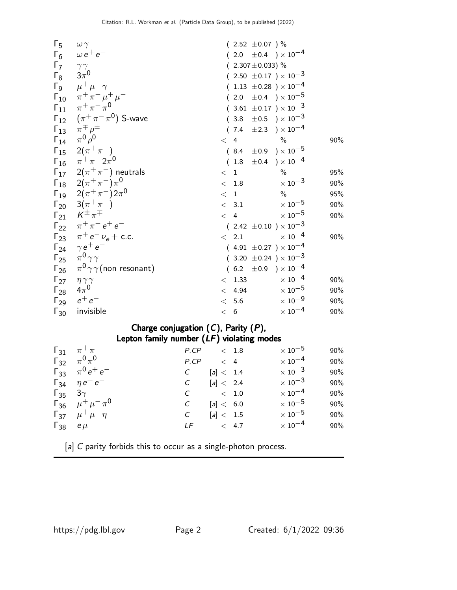| $\Gamma_5 \quad \omega \gamma$     |                                                    | $(2.52 \pm 0.07)$ %              |                           |     |
|------------------------------------|----------------------------------------------------|----------------------------------|---------------------------|-----|
|                                    | $\Gamma_6$ $\omega e^+ e^-$                        | $(2.0 \pm 0.4) \times 10^{-4}$   |                           |     |
| $\Gamma_7$ $\gamma\gamma$          |                                                    | $(2.307 \pm 0.033)$ %            |                           |     |
| $\Gamma_8$ $3\pi^0$                |                                                    | $(2.50 \pm 0.17) \times 10^{-3}$ |                           |     |
|                                    | $\Gamma_9$ $\mu^+ \mu^- \gamma$                    | $(1.13 \pm 0.28) \times 10^{-4}$ |                           |     |
|                                    | $\Gamma_{10}$ $\pi^{+}\pi^{-}\mu^{+}\mu^{-}$       | $(2.0 \pm 0.4) \times 10^{-5}$   |                           |     |
|                                    | $\Gamma_{11}$ $\pi^+\pi^-\pi^0$                    | $(3.61 \pm 0.17) \times 10^{-3}$ |                           |     |
|                                    | $\Gamma_{12}$ $(\pi^+\pi^-\pi^0)$ S-wave           | $(3.8 \pm 0.5) \times 10^{-3}$   |                           |     |
|                                    | $\Gamma_{13}$ $\pi^{\mp} \rho^{\pm}$               | $(7.4 \pm 2.3) \times 10^{-4}$   |                           |     |
|                                    | $\Gamma_{14}$ $\pi^{0}$ $\rho^{0}$                 | $< 4$ %                          |                           | 90% |
|                                    | $\Gamma_{15}$ $2(\pi^{+}\pi^{-})$                  | $(8.4 \pm 0.9) \times 10^{-5}$   |                           |     |
|                                    | $\Gamma_{16}$ $\pi^+ \pi^- 2 \pi^0$                | $(1.8 \pm 0.4) \times 10^{-4}$   |                           |     |
|                                    | $\overline{\Gamma_{17}}$ $2(\pi^+\pi^-)$ neutrals  | < 1                              | $\frac{0}{0}$             | 95% |
|                                    | $\Gamma_{18}$ $2(\pi^{+}\pi^{-})\pi^{0}$           | < 1.8                            | $\times\,10^{-3}$         | 90% |
|                                    | $\Gamma_{19}$ $2(\pi^{+}\pi^{-})2\pi^{0}$          | < 1                              | $\frac{0}{0}$             | 95% |
|                                    | $\Gamma_{20}$ 3( $\pi^{+}\pi^{-}$ )                | < 3.1                            | $\times$ 10 $^{-5}$       | 90% |
|                                    | $\Gamma_{21}$ $K^{\pm} \pi^{\mp}$                  | < 4                              | $\times$ 10 $^{-5}$       | 90% |
|                                    | $\Gamma_{22}$ $\pi^{+}\pi^{-}e^{+}e^{-}$           | $(2.42 \pm 0.10) \times 10^{-3}$ |                           |     |
|                                    | $\Gamma_{23}$ $\pi^+ e^- \nu_e + \text{c.c.}$      | $< 2.1 \times 10^{-4}$           |                           | 90% |
|                                    | $\Gamma_{24}$ $\gamma e^+ e^-$                     | $(4.91 \pm 0.27) \times 10^{-4}$ |                           |     |
|                                    | $\Gamma_{25}$ $\pi^0 \gamma \gamma$                | $(3.20 \pm 0.24) \times 10^{-3}$ |                           |     |
|                                    | $\Gamma_{26}$ $\pi^{0}\gamma\gamma$ (non resonant) | $(6.2 \pm 0.9) \times 10^{-4}$   |                           |     |
| $\Gamma_{27}$ $\eta \gamma \gamma$ |                                                    | < 1.33                           | $\times$ 10 $^{-4}$       | 90% |
| $\Gamma_{28}$ $4\pi^0$             |                                                    | < 4.94                           | $\times$ 10 $^{-5}$       | 90% |
|                                    | $\Gamma_{29}$ $e^+e^-$                             | < 5.6                            | $\times$ 10 <sup>-9</sup> | 90% |
|                                    | $\Gamma_{30}$ invisible                            | < 6                              | $\times$ $10^{-4}$        | 90% |

### Charge conjugation  $(C)$ , Parity  $(P)$ , Lepton family number  $(LF)$  violating modes

| $\Gamma_{31}$ $\pi^{+}\pi^{-}$    | $P, CP \leq 1.8$                |           |  | $\times$ 10 $^{-5}$       | 90%    |
|-----------------------------------|---------------------------------|-----------|--|---------------------------|--------|
| $\Gamma_{32}$ $\pi^{0}\pi^{0}$    | $P, CP \leq 4$                  |           |  | $\times$ 10 $^{-4}$       | $90\%$ |
| $\Gamma_{33}$ $\pi^0 e^+ e^-$     | $\mathcal{C}$                   | [a] < 1.4 |  | $\times$ 10 $^{-3}$       | 90%    |
| $\Gamma_{34}$ $\eta e^+ e^-$      | $C$ [a] < 2.4                   |           |  | $\times$ 10 <sup>-3</sup> | 90%    |
| $\Gamma_{35}$ 3 $\gamma$          | $C \t\t 1.0$                    |           |  | $\times$ 10 $^{-4}$       | 90%    |
| $\Gamma_{36}$ $\mu^+ \mu^- \pi^0$ | $\mathcal{C}$                   | [a] < 6.0 |  | $\times$ 10 $^{-5}$       | 90%    |
| $\Gamma_{37}$ $\mu^+ \mu^- \eta$  | $\mathcal{C}$ and $\mathcal{C}$ | [a] < 1.5 |  | $\times$ 10 $^{-5}$       | 90%    |
| $\Gamma_{38}$ e $\mu$             | $LF$ < 4.7                      |           |  | $\times$ 10 $^{-4}$       | 90%    |

[a] C parity forbids this to occur as a single-photon process.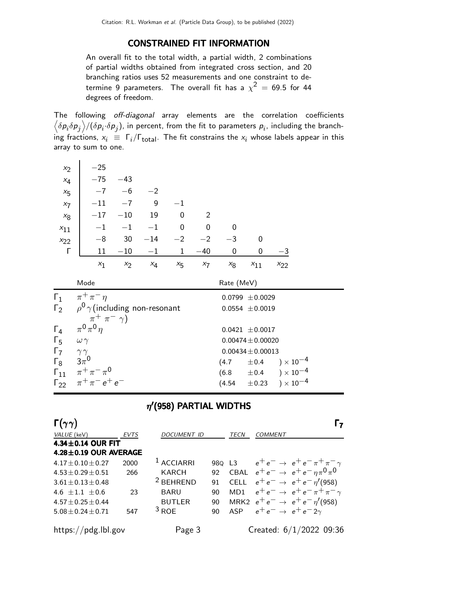#### CONSTRAINED FIT INFORMATION

An overall fit to the total width, a partial width, 2 combinations of partial widths obtained from integrated cross section, and 20 branching ratios uses 52 measurements and one constraint to determine 9 parameters. The overall fit has a  $\chi^2$  = 69.5 for 44 degrees of freedom.

The following off-diagonal array elements are the correlation coefficients  $\left<\delta p_i\delta p_j\right>$ /( $\delta p_i\!\cdot\!\delta p_j$ ), in percent, from the fit to parameters  $p_i$ , including the branching fractions,  $x_i \equiv \Gamma_i/\Gamma_{\text{total}}$ . The fit constrains the  $x_i$  whose labels appear in this array to sum to one.

| $x_2$          | $-25$                                  |                     |       |         |       |              |          |          |  |
|----------------|----------------------------------------|---------------------|-------|---------|-------|--------------|----------|----------|--|
| $x_4$          | $-75$                                  | $-43$               |       |         |       |              |          |          |  |
| $x_{5}$        | $-7$                                   | $-6$                | $-2$  |         |       |              |          |          |  |
| $x_7$          | $-11$                                  | $-7$                | 9     | $-1$    |       |              |          |          |  |
| $x_8$          | $-17$                                  | $-10$               | 19    | 0       | 2     |              |          |          |  |
| $x_{11}$       | $^{-1}$                                | $-1$                | $-1$  | 0       | 0     | $\mathbf{0}$ |          |          |  |
| $x_{22}$       | $-8$                                   | 30                  | $-14$ | $-2$    | $-2$  | $-3$         | 0        |          |  |
| Г              | 11                                     | $-10$               | $-1$  | 1       | $-40$ | 0            | 0        | -3       |  |
|                | $x_1$                                  | $x_2$               | $x_4$ | $x_{5}$ | $x_7$ | $x_8$        | $x_{11}$ | $x_{22}$ |  |
|                | Mode                                   | Rate (MeV)          |       |         |       |              |          |          |  |
| $\mathsf{r}_1$ | $\pi^+$<br>$^ \eta$<br>$\pi$<br>$\sim$ | $0.0799 \pm 0.0029$ |       |         |       |              |          |          |  |

|                           | $\sim$ $\sim$ $\sim$ $\sim$                        | $0.0133 \pm 0.0023$                |
|---------------------------|----------------------------------------------------|------------------------------------|
|                           | $\Gamma_2$ $\rho^0 \gamma$ (including non-resonant | $0.0554 \pm 0.0019$                |
|                           | $\pi^+$ $\pi^ \gamma$ )                            |                                    |
|                           | $\Gamma_4$ $\pi^0 \pi^0 \eta$                      | $0.0421 \pm 0.0017$                |
| $\Gamma_5$                | $\omega \gamma$                                    | $0.00474 \pm 0.00020$              |
| $\Gamma_7$ $\gamma\gamma$ |                                                    | $0.00434 \pm 0.00013$              |
| $\Gamma_8$ $3\pi^0$       |                                                    | $(4.7 \pm 0.4) \times 10^{-4}$     |
|                           | $\Gamma_{11}$ $\pi^+\pi^-\pi^0$                    | $(6.8 \t\pm 0.4 \t)\times 10^{-4}$ |
|                           | $\Gamma_{22}$ $\pi^{+}\pi^{-}e^{+}e^{-}$           | $(4.54 \pm 0.23) \times 10^{-4}$   |
|                           |                                                    |                                    |

### $\eta'$ (958) PARTIAL WIDTHS

| $\Gamma(\gamma\gamma)$      |             |                       |    |             |                                    |                                                       |
|-----------------------------|-------------|-----------------------|----|-------------|------------------------------------|-------------------------------------------------------|
| VALUE (keV)                 | <b>EVTS</b> | <b>DOCUMENT ID</b>    |    | <b>TECN</b> | COMMENT                            |                                                       |
| 4.34 $\pm$ 0.14 OUR FIT     |             |                       |    |             |                                    |                                                       |
| $4.28 \pm 0.19$ OUR AVERAGE |             |                       |    |             |                                    |                                                       |
| $4.17 + 0.10 + 0.27$        | 2000        | <sup>1</sup> ACCIARRI |    |             |                                    | 980 L3 $e^+e^- \rightarrow e^+e^- \pi^+ \pi^- \gamma$ |
| $4.53 \pm 0.29 \pm 0.51$    | 266         | <b>KARCH</b>          | 92 |             |                                    | CBAL $e^+e^- \rightarrow e^+e^-\eta \pi^0 \pi^0$      |
| $3.61 \pm 0.13 \pm 0.48$    |             | <sup>2</sup> BEHREND  | 91 | <b>CELL</b> |                                    | $e^+e^- \rightarrow e^+e^-\eta'(958)$                 |
| 4.6 $\pm$ 1.1 $\pm$ 0.6     | 23          | <b>BARU</b>           | 90 | MD1         |                                    | $e^+e^- \rightarrow e^+e^-\pi^+\pi^-\gamma$           |
| $4.57 \pm 0.25 \pm 0.44$    |             | <b>BUTLER</b>         | 90 |             |                                    | MRK2 $e^+e^- \rightarrow e^+e^-\eta'(958)$            |
| $5.08 \pm 0.24 \pm 0.71$    | 547         | $3$ ROE               | 90 | <b>ASP</b>  | $e^+e^- \rightarrow e^+e^-2\gamma$ |                                                       |
| https://pdg.lbl.gov         |             | Page 3                |    |             |                                    | Created: $6/1/2022$ 09:36                             |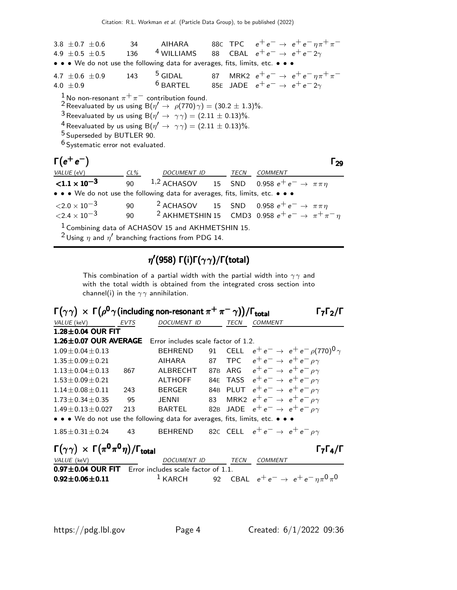3.8 ±0.7 ±0.6 34 AIHARA 88C TPC  $e^+e^- \to e^+e^-\eta\pi^+\pi^-$ <br>4.9 +0.5 +0.5 136 <sup>4</sup> WILLIAMS 88 CBAL  $e^+e^- \to e^+e^-2\gamma$ 4.9  $\pm$  0.5  $\pm$  0.5 136 <sup>4</sup> WILLIAMS 88 CBAL  $e^+e^- \rightarrow e^+e^- 2\gamma$ • • • We do not use the following data for averages, fits, limits, etc. • • • 4.7 ±0.6 ±0.9 143 <sup>5</sup> GIDAL 87 MRK2  $e^+e^- \rightarrow e^+e^-\eta\pi^+\pi^-$ <br>4.0 +0.9 <sup>6</sup> BARTEL 85E JADE  $e^+e^- \rightarrow e^+e^-2\gamma$ 4.0  $\pm 0.9$ 85E JADE  $e^+e^- \rightarrow e^+e^- 2\gamma$  $\frac{1}{4}$ No non-resonant  $\pi^{+} \pi^{-}$  contribution found. <sup>2</sup> Reevaluated by us using B $(\eta' \rightarrow \rho(770) \gamma) = (30.2 \pm 1.3)\%$ . <sup>3</sup> Reevaluated by us using B $(\eta' \rightarrow \gamma \gamma) = (2.11 \pm 0.13)\%$ . <sup>4</sup> Reevaluated by us using B $(\eta' \rightarrow \gamma \gamma) = (2.11 \pm 0.13)\%$ . 5 Superseded by BUTLER 90.  $6$  Systematic error not evaluated.  $\Gamma(e^+e^-)$  $\Gamma(e^+e^-)$  Γ<sub>29</sub> Γ $(e^+e^-)$  Γ $_2$ 9 ) производство в производство в производство в производство в производство в принципально в производство в при<br>Принципально в производство в принципально в принципально в принципально в принципально в принципально в принц VALUE (eV) CL% DOCUMENT ID TECN COMMENT  ${<}1.1 \times 10^{-3}$ 90 <sup>1,2</sup> ACHASOV 15 SND 0.958  $e^+e^- \to \pi \pi \eta$ • • • We do not use the following data for averages, fits, limits, etc. •  $\langle 2.0 \times 10^{-3}$  90 <sup>2</sup> ACHASOV 15 SND 0.958  $e^+e^- \to \pi \pi \eta$  $\langle 2.4 \times 10^{-3}$  90 <sup>2</sup> AKHMETSHIN 15 CMD3 0.958  $e^+e^- \rightarrow \pi^+\pi^-\eta$ 

 $1$  Combining data of ACHASOV 15 and AKHMETSHIN 15.

<sup>2</sup> Using  $\eta$  and  $\eta'$  branching fractions from PDG 14.

### $\eta^\prime$ (958) Γ(i)Γ( $\gamma\gamma$ )/Γ(total)

This combination of a partial width with the partial width into  $\gamma\gamma$  and with the total width is obtained from the integrated cross section into channel(i) in the  $\gamma\gamma$  annihilation.

| $\Gamma(\gamma\gamma) \times \Gamma(\rho^0\gamma)$ (including non-resonant $\pi^+\pi^-\gamma$ ))/ $\Gamma_{\text{total}}$ |      |                                                          |                 |             |                                                  |                                                   |
|---------------------------------------------------------------------------------------------------------------------------|------|----------------------------------------------------------|-----------------|-------------|--------------------------------------------------|---------------------------------------------------|
| VALUE (keV)                                                                                                               | EVTS | <b>DOCUMENT ID</b>                                       |                 | <b>TECN</b> | <b>COMMENT</b>                                   |                                                   |
| $1.28\pm0.04$ OUR FIT                                                                                                     |      |                                                          |                 |             |                                                  |                                                   |
| $1.26 \pm 0.07$ OUR AVERAGE                                                                                               |      | Error includes scale factor of 1.2.                      |                 |             |                                                  |                                                   |
| $1.09 \pm 0.04 \pm 0.13$                                                                                                  |      | <b>BEHREND</b>                                           | 91              |             |                                                  | CELL $e^+e^- \rightarrow e^+e^-\rho(770)^0\gamma$ |
| $1.35 \pm 0.09 \pm 0.21$                                                                                                  |      | <b>AIHARA</b>                                            | 87              |             | TPC $e^+e^- \rightarrow e^+e^- \rho \gamma$      |                                                   |
| $1.13 \pm 0.04 \pm 0.13$                                                                                                  | 867  | ALBRECHT                                                 | 87 <sub>B</sub> |             | ARG $e^+e^- \rightarrow e^+e^- \rho \gamma$      |                                                   |
| $1.53 + 0.09 + 0.21$                                                                                                      |      | <b>ALTHOFF</b>                                           |                 |             | 84E TASS $e^+e^- \rightarrow e^+e^- \rho \gamma$ |                                                   |
| $1.14 \pm 0.08 \pm 0.11$                                                                                                  | 243  | <b>BERGER</b>                                            |                 |             | 84B PLUT $e^+e^- \rightarrow e^+e^- \rho \gamma$ |                                                   |
| $1.73 \pm 0.34 \pm 0.35$                                                                                                  | 95   | JENNI                                                    | 83              |             | MRK2 $e^+e^- \rightarrow e^+e^- \rho \gamma$     |                                                   |
| $1.49 \pm 0.13 \pm 0.027$                                                                                                 | 213  | <b>BARTEL</b>                                            |                 |             | 82B JADE $e^+e^- \rightarrow e^+e^- \rho \gamma$ |                                                   |
| • • • We do not use the following data for averages, fits, limits, etc. • • •                                             |      |                                                          |                 |             |                                                  |                                                   |
| $1.85 \pm 0.31 \pm 0.24$                                                                                                  | 43   | BEHREND 82C CELL $e^+e^- \rightarrow e^+e^- \rho \gamma$ |                 |             |                                                  |                                                   |
| $\Gamma(\gamma\gamma) \times \Gamma(\pi^0\pi^0\eta)/\Gamma_{\text{total}}$                                                |      |                                                          |                 |             |                                                  | $\Gamma_7\Gamma_4/\Gamma$                         |
| VALUE (keV)                                                                                                               |      | DOCUMENT ID                                              |                 | <b>TECN</b> | <b>COMMENT</b>                                   |                                                   |
| $0.97 \pm 0.04$ OUR FIT Error includes scale factor of 1.1.                                                               |      |                                                          |                 |             |                                                  |                                                   |
| $0.92 \pm 0.06 \pm 0.11$                                                                                                  |      | $1$ KARCH                                                |                 |             |                                                  | 92 CBAL $e^+e^- \to e^+e^- \eta \pi^0 \pi^0$      |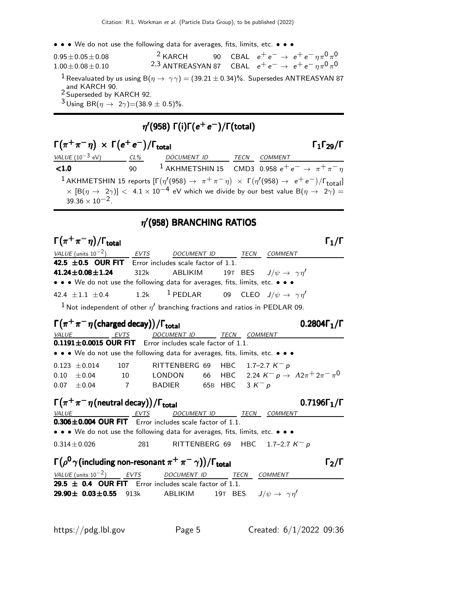• • • We do not use the following data for averages, fits, limits, etc. • • •

| $0.95 \pm 0.05 \pm 0.08$                                                                                                                                                | $2$ KARCH                                                                   |  | 90 CBAL $e^+e^- \to e^+e^-\eta\pi^0\pi^0$ |  |
|-------------------------------------------------------------------------------------------------------------------------------------------------------------------------|-----------------------------------------------------------------------------|--|-------------------------------------------|--|
| $1.00 \pm 0.08 \pm 0.10$                                                                                                                                                | <sup>2,3</sup> ANTREASYAN 87 CBAL $e^+e^- \rightarrow e^+e^-\eta\pi^0\pi^0$ |  |                                           |  |
| <sup>1</sup> Reevaluated by us using B( $\eta \to \gamma \gamma$ ) = (39.21 ± 0.34)%. Supersedes ANTREASYAN 87<br>and KARCH 90.<br><sup>2</sup> Superseded by KARCH 92. |                                                                             |  |                                           |  |
| <sup>3</sup> Using BR( $\eta \to 2\gamma$ )=(38.9 ± 0.5)%.                                                                                                              |                                                                             |  |                                           |  |

## $\eta^\prime$ (958) Γ(i)Γ( $e^+$ e $^-$ )/Γ(total)

| $\Gamma(\pi^+\pi^-\eta) \times \Gamma(e^+e^-)/\Gamma_{\text{total}}$ |     | $\Gamma_1\Gamma_{29}/\Gamma$                                                                                                                                                                                                                                                                 |      |                |  |
|----------------------------------------------------------------------|-----|----------------------------------------------------------------------------------------------------------------------------------------------------------------------------------------------------------------------------------------------------------------------------------------------|------|----------------|--|
| <i>VALUE</i> (10 $^{-3}$ eV)                                         | CL% | DOCUMENT ID                                                                                                                                                                                                                                                                                  | TECN | <i>COMMENT</i> |  |
| < 1.0                                                                | 90. | <sup>1</sup> AKHMETSHIN 15 CMD3 0.958 $e^+e^- \rightarrow \pi^+\pi^-\eta$                                                                                                                                                                                                                    |      |                |  |
| $39.36 \times 10^{-2}$                                               |     | <sup>1</sup> AKHMETSHIN 15 reports $[\Gamma(\eta'(958) \rightarrow \pi^+\pi^-\eta) \times \Gamma(\eta'(958) \rightarrow e^+e^-)/\Gamma_{\text{total}}]$<br>$\times$ [B( $\eta \to 2\gamma$ )] < 4.1 $\times$ 10 <sup>-4</sup> eV which we divide by our best value B( $\eta \to 2\gamma$ ) = |      |                |  |

### $\eta'$ (958) BRANCHING RATIOS

 $\Gamma(\pi^+\pi^-\eta)/\Gamma_{\rm total}$  Γ<sub>1</sub>/Γ VALUE (units  $10^{-2}$ ) EVTS DOCUMENT ID TECN COMMENT 42.5  $\pm$ 0.5 OUR FIT Error includes scale factor of 1.1. **41.24±0.08±1.24** 312k ABLIKIM 19T BES  $J/\psi \to \gamma \eta'$ • • • We do not use the following data for averages, fits, limits, etc. • • • 42.4  $\pm$ 1.1  $\pm$ 0.4 1.2k <sup>1</sup> PEDLAR 09 CLEO  $J/\psi \to \gamma \eta'$  $^1$  Not independent of other  $\eta'$  branching fractions and ratios in PEDLAR 09.  $\Gamma(\pi^+\pi^-\eta)$ (charged decay))/Γ<sub>total</sub> 0.2804Γ<sub>1</sub>/Γ VALUE EVTS DOCUMENT ID TECN COMMENT  $0.1191 \pm 0.0015$  OUR FIT Error includes scale factor of 1.1. • • • We do not use the following data for averages, fits, limits, etc. • • •  $0.123 \pm 0.014$  107 RITTENBERG 69 HBC 1.7–2.7 K<sup>-</sup> p 0.10  $\pm$ 0.04 10 LONDON 66 HBC 2.24  $K^ p \rightarrow$   $\Lambda 2\pi^+ 2\pi^- \pi^0$ 0.07  $\pm$ 0.04 7 BADIER 65B HBC 3 K<sup>-</sup> p  $\Gamma(\pi^+\pi^-\eta$ (neutral decay))/Γ<sub>total</sub> 0.7196Γ<sub>1</sub>/Γ VALUE TITLE EVTS DOCUMENT ID TECN COMMENT  $0.306\pm0.004$  OUR FIT Error includes scale factor of 1.1. • • • We do not use the following data for averages, fits, limits, etc. • • •  $0.314 \pm 0.026$  281 RITTENBERG 69 HBC 1.7–2.7 K<sup>-</sup> p Γ $(\rho^0\gamma)$  (including non-resonant  $\pi^+\,\pi^-\,\gamma)\big)/\Gamma_{\rm total}$  Γ $_2$ /Γ  $\Gamma_2/\Gamma$ VALUE (units  $10^{-2}$ ) EVTS DOCUMENT ID TECN COMMENT 29.5  $\pm$  0.4 OUR FIT Error includes scale factor of 1.1. **29.90 ± 0.03 ± 0.55** 913k ABLIKIM 19T BES  $J/\psi \to \gamma \eta'$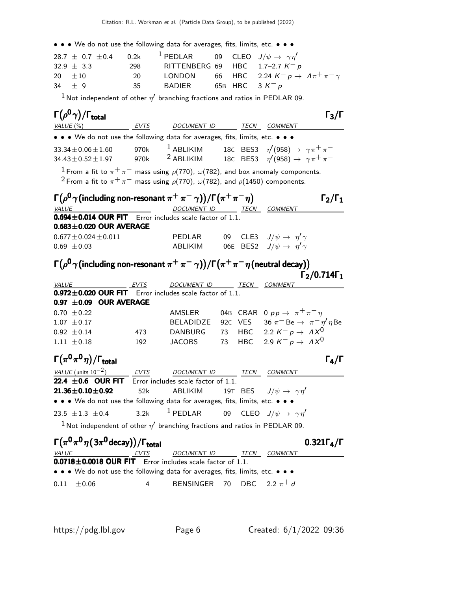• • • We do not use the following data for averages, fits, limits, etc. • • •

|                |    | 28.7 $\pm$ 0.7 $\pm$ 0.4 0.2k <sup>1</sup> PEDLAR 09 CLEO $J/\psi \to \gamma \eta'$ |  |                                                                   |
|----------------|----|-------------------------------------------------------------------------------------|--|-------------------------------------------------------------------|
| $32.9 \pm 3.3$ |    | 298 RITTENBERG 69 HBC 1.7-2.7 $K^- p$                                               |  |                                                                   |
| 20 $\pm 10$    | 20 |                                                                                     |  | LONDON 66 HBC 2.24 $K^- p \rightarrow \Lambda \pi^+ \pi^- \gamma$ |
| $34 \pm 9$     | 35 | BADIER                                                                              |  | 65B HBC 3 $K^- p$                                                 |

 $^1$ Not independent of other  $\eta'$  branching fractions and ratios in PEDLAR 09.

| $\Gamma(\rho^0\gamma)/\Gamma_{\rm total}$                                                                                                                                                                             |      |                                                                      |    |            |                                                      | $\Gamma_3/\Gamma$        |
|-----------------------------------------------------------------------------------------------------------------------------------------------------------------------------------------------------------------------|------|----------------------------------------------------------------------|----|------------|------------------------------------------------------|--------------------------|
| VALUE $(%)$                                                                                                                                                                                                           |      | EVTS DOCUMENT ID TECN COMMENT                                        |    |            |                                                      |                          |
| • • • We do not use the following data for averages, fits, limits, etc. • • •                                                                                                                                         |      |                                                                      |    |            |                                                      |                          |
| $33.34 \pm 0.06 \pm 1.60$                                                                                                                                                                                             | 970k | $^{-1}$ ABLIKIM 18C BES3 $\eta'(958) \rightarrow \gamma \pi^+ \pi^-$ |    |            |                                                      |                          |
| $34.43 \pm 0.52 \pm 1.97$                                                                                                                                                                                             | 970k | <sup>2</sup> ABLIKIM                                                 |    |            | 18C BES3 $\eta'(958) \rightarrow \gamma \pi^+ \pi^-$ |                          |
| $^1$ From a fit to $\pi^+\pi^-$ mass using $\rho(770)$ , $\omega(782)$ , and box anomaly components.<br><sup>2</sup> From a fit to $\pi^+\pi^-$ mass using $\rho(770)$ , $\omega(782)$ , and $\rho(1450)$ components. |      |                                                                      |    |            |                                                      |                          |
| $\Gamma(\rho^0\gamma)$ (including non-resonant $\pi^+\,\pi^-\,\gamma)$ ) / $\Gamma(\pi^+\pi^-\eta)$                                                                                                                   |      |                                                                      |    |            |                                                      | $\Gamma_2/\Gamma_1$      |
| <b>VALUE</b>                                                                                                                                                                                                          |      | DOCUMENT ID TECN COMMENT                                             |    |            |                                                      |                          |
| $0.694 \pm 0.014$ OUR FIT Error includes scale factor of 1.1.<br>$0.683 \pm 0.020$ OUR AVERAGE                                                                                                                        |      |                                                                      |    |            |                                                      |                          |
| $0.677 \pm 0.024 \pm 0.011$                                                                                                                                                                                           |      | PEDLAR                                                               | 09 |            | CLE3 $J/\psi \rightarrow \eta' \gamma$               |                          |
| $0.69 \pm 0.03$                                                                                                                                                                                                       |      | ABLIKIM                                                              |    |            | 06E BES2 $J/\psi \rightarrow \eta' \gamma$           |                          |
| $\Gamma(\rho^{\bm 0}\gamma$ (including non-resonant $\pi^+\,\pi^-\,\gamma)$ ) / $\Gamma\big(\pi^+\,\pi^-\,\eta$ (neutral decay))                                                                                      |      |                                                                      |    |            |                                                      |                          |
| VALUE<br>EVTS                                                                                                                                                                                                         |      | DOCUMENT ID TECN                                                     |    |            | COMMENT                                              | $\Gamma_2/0.714\Gamma_1$ |
| $0.972 \pm 0.020$ OUR FIT Error includes scale factor of 1.1.                                                                                                                                                         |      |                                                                      |    |            |                                                      |                          |
| 0.97 $\pm$ 0.09 OUR AVERAGE                                                                                                                                                                                           |      |                                                                      |    |            |                                                      |                          |
| $0.70 \pm 0.22$                                                                                                                                                                                                       |      | AMSLER 04B CBAR $0 \overline{p} p \rightarrow \pi^+ \pi^- \eta$      |    |            |                                                      |                          |
| $1.07 \pm 0.17$                                                                                                                                                                                                       |      | BELADIDZE 92C VES 36 $\pi^-$ Be $\rightarrow \pi^- \eta' \eta$ Be    |    |            |                                                      |                          |
| $0.92 \pm 0.14$                                                                                                                                                                                                       | 473  | DANBURG 73 HBC 2.2 $K^- p \rightarrow AX^0$                          |    |            |                                                      |                          |
| $1.11 \pm 0.18$                                                                                                                                                                                                       | 192  | <b>JACOBS</b>                                                        | 73 | <b>HBC</b> | 2.9 $K^- p \rightarrow AX^0$                         |                          |
| $\Gamma(\pi^0\pi^0\eta)/\Gamma_{\rm total}$                                                                                                                                                                           |      |                                                                      |    |            |                                                      | $\Gamma_4/\Gamma$        |
| VALUE (units $10^{-2}$ )                                                                                                                                                                                              |      | EVTS DOCUMENT ID TECN COMMENT                                        |    |            |                                                      |                          |
| 22.4 $\pm$ 0.6 OUR FIT Error includes scale factor of 1.1.                                                                                                                                                            |      |                                                                      |    |            |                                                      |                          |
| $21.36 \pm 0.10 \pm 0.92$                                                                                                                                                                                             | 52k  | ABLIKIM                                                              |    |            | 19T BES $J/\psi \rightarrow \gamma \eta'$            |                          |
| • • • We do not use the following data for averages, fits, limits, etc. • • •                                                                                                                                         |      |                                                                      |    |            |                                                      |                          |
| 23.5 $\pm 1.3 \pm 0.4$                                                                                                                                                                                                | 3.2k | $1$ PEDLAR                                                           |    |            | 09 CLEO $J/\psi \rightarrow \gamma \eta'$            |                          |
| $1$ Not independent of other $\eta'$ branching fractions and ratios in PEDLAR 09.                                                                                                                                     |      |                                                                      |    |            |                                                      |                          |
| $\Gamma(\pi^0\pi^0\eta(3\pi^0$ decay))/ $\Gamma_{\text{total}}$                                                                                                                                                       |      |                                                                      |    |            |                                                      | $0.321\Gamma_4/\Gamma$   |
| <b>VALUE</b><br>$\overline{0.0718 \pm 0.0018}$ OUR FIT Error includes scale factor of 1.1.                                                                                                                            | EVTS | DOCUMENT ID TECN COMMENT                                             |    |            |                                                      |                          |
| • • • We do not use the following data for averages, fits, limits, etc. • • •                                                                                                                                         |      |                                                                      |    |            |                                                      |                          |

0.11  $\pm$  0.06 4 BENSINGER 70 DBC 2.2  $\pi$ <sup>+</sup> d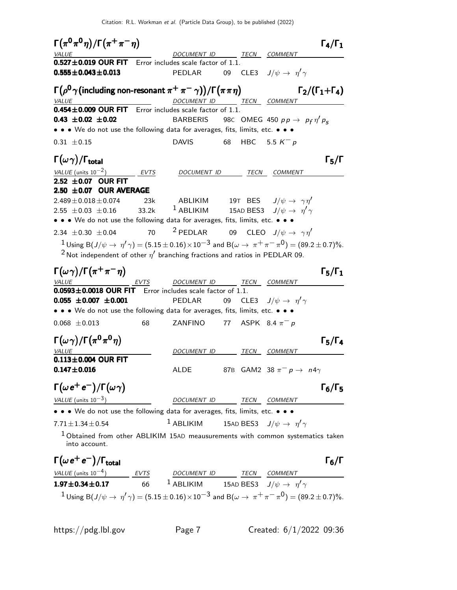Citation: R.L. Workman et al. (Particle Data Group), to be published (2022)

 $\Gamma(\pi^0\pi^0\eta)/\Gamma(\pi^+\pi^-\eta)$   $\Gamma_4/\Gamma_1$  $+\pi$   $-\eta$ )  $\qquad \qquad$   $\Gamma_4$ DOCUMENT ID TECN COMMENT  $0.527 \pm 0.019$  OUR FIT Error includes scale factor of 1.1.  $0.555 \pm 0.043 \pm 0.013$  PEDLAR 09 CLE3  $J/\psi \rightarrow \eta' \gamma$ Γ $(\rho^{\bm 0}\gamma)$  (including non-resonant  $\pi^+\,\pi^-\,\gamma)\big)/\Gamma\big(\pi\,\pi\,\eta\big)$  Γ $_2/(\Gamma_1+\Gamma_4)$  $\Gamma_2/(\Gamma_1+\Gamma_4)$ DOCUMENT ID TECN COMMENT  $0.454 \pm 0.009$  OUR FIT Error includes scale factor of 1.1. **0.43**  $\pm$ **0.02 EXELLERIS** 98C OMEG 450  $p p \to p_f \eta' p_s$ • • • We do not use the following data for averages, fits, limits, etc. • • • 0.31  $\pm$  0.15 DAVIS 68 HBC 5.5 K<sup>-</sup> p Γ $(\omega \gamma)$ /Γ<sub>total</sub> 5 ω γκατά του του προσπάθει της προσπάθειας της προσπάθειας της προσπάθειας της προσπάθειας της π VALUE (units  $10^{-2}$ ) EVTS DOCUMENT ID TECN COMMENT  $2.52 \pm 0.07$  OUR FIT  $2.50 \pm 0.07$  OUR AVERAGE  $2.489\pm0.018\pm0.074$  23k ABLIKIM 19T BES  $J/\psi \rightarrow \gamma \eta'$  $2.55\ \pm0.03\ \pm0.16$   $33.2$ k  $^{-1}$  ABLIKIM  $^{-1}$  15AD BES3  $\ \ J/\psi\rightarrow\ \ \eta'\gamma$ • • • We do not use the following data for averages, fits, limits, etc. • • • 2.34  $\pm$ 0.30  $\pm$ 0.04 70 <sup>2</sup> PEDLAR 09 CLEO  $J/\psi \to \gamma \eta'$  $1$  Using B $(J/\psi\to\eta'\gamma)=(5.15\pm0.16)\times10^{-3}$  and B $(\omega\to\pi^+\pi^-\pi^0)=(89.2\pm0.7)\%$ .  $^2$ Not independent of other  $\eta'$  branching fractions and ratios in PEDLAR 09.  $\Gamma(\omega \gamma)/\Gamma(\pi^+\pi^-\eta)$   $\Gamma_5/\Gamma_1$  $\Gamma_5/\Gamma_1$ EVTS DOCUMENT ID TECN COMMENT  $0.0593 \pm 0.0018$  OUR FIT Error includes scale factor of 1.1.  $0.055 \pm 0.007 \pm 0.001$  PEDLAR 09 CLE3  $J/\psi \rightarrow \eta' \gamma$ • • • We do not use the following data for averages, fits, limits, etc. • • • 0.068  $\pm$ 0.013 68 ZANFINO 77 ASPK 8.4  $\pi^-$  p  $\Gamma(\omega \gamma)/\Gamma(\pi^0 \pi^0 \eta)$  Γ<sub>5</sub>/Γ<sub>4</sub> VALUE **A COMMENT ID** TECN COMMENT  $0.113 \pm 0.004$  OUR FIT **0.147±0.016** ALDE 87B GAM2 38  $\pi^-$  p  $\rightarrow$  n4 $\gamma$  $\Gamma(\omega e^+e^-)/\Gamma(\omega \gamma)$  Γ<sub>6</sub>/Γ<sub>5</sub> VALUE (units  $10^{-3}$ ) DOCUMENT ID TECN COMMENT • • • We do not use the following data for averages, fits, limits, etc. • • • 7.71 $\pm$ 1.34 $\pm$ 0.54  $^1$  ABLIKIM 15AD BES3  $\,$  J/ $\psi \rightarrow \,$   $\eta' \gamma$  $1$  Obtained from other ABLIKIM 15AD meausurements with common systematics taken into account.  $\Gamma(\omega e^+e^-)/\Gamma_{\rm total}$  Γ<sub>6</sub>/Γ  $VALU E$  (units 10<sup>-4</sup>) EVTS DOCUMENT ID TECN  $\bf 1.97 \pm 0.34 \pm 0.17$  66  $^1$  ABLIKIM  $^1$  15AD BES3  $\,$  J/ $\psi \rightarrow \,$   $\eta' \gamma$  $1$  Using B $(J/\psi\to\eta'\gamma)=(5.15\pm0.16)\times10^{-3}$  and B $(\omega\to\pi^+\pi^-\pi^0)=(89.2\pm0.7)\%$ .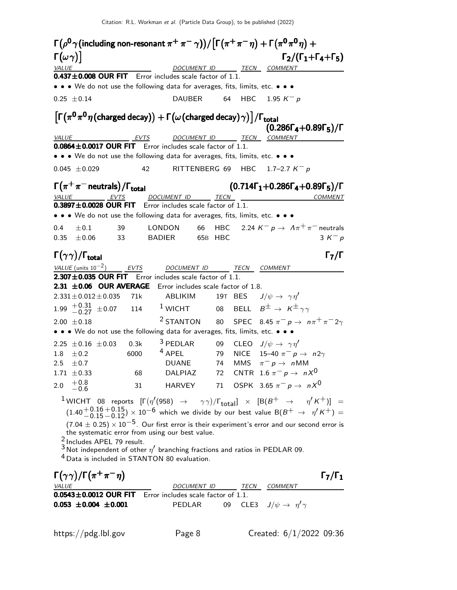| $\Gamma(\rho^{\bm 0}\gamma$ (including non-resonant $\pi^+\,\pi^-\,\gamma) \big)/\big[\Gamma\big(\pi^+\pi^-\,\eta\big)+\Gamma\big(\pi^{\bm 0}\,\pi^{\bm 0}\,\eta\big)+\eta$ |      |                                     |         |                                                                                                                                                                                                                                                                       |
|-----------------------------------------------------------------------------------------------------------------------------------------------------------------------------|------|-------------------------------------|---------|-----------------------------------------------------------------------------------------------------------------------------------------------------------------------------------------------------------------------------------------------------------------------|
| $\left\lceil \left( \omega \gamma \right) \right\rceil$                                                                                                                     |      |                                     |         | $\Gamma_2/(\Gamma_1+\Gamma_4+\Gamma_5)$                                                                                                                                                                                                                               |
| <b>VALUE</b>                                                                                                                                                                |      |                                     |         | DOCUMENT ID TECN COMMENT                                                                                                                                                                                                                                              |
| $0.437 \pm 0.008$ OUR FIT Error includes scale factor of 1.1.                                                                                                               |      |                                     |         |                                                                                                                                                                                                                                                                       |
| • • • We do not use the following data for averages, fits, limits, etc. • • •                                                                                               |      |                                     |         |                                                                                                                                                                                                                                                                       |
| $0.25 \pm 0.14$                                                                                                                                                             |      | <b>DAUBER</b>                       | 64      | HBC 1.95 $K^- p$                                                                                                                                                                                                                                                      |
| $\left[\Gamma(\pi^0\pi^0\eta\text{(charged decay)}) + \Gamma(\omega\text{(charged decay)}\gamma)\right]/\Gamma_{\text{total}}$                                              |      |                                     |         | $(0.286\Gamma_4 + 0.89\Gamma_5)/\Gamma$                                                                                                                                                                                                                               |
| <b>VALUE</b><br>EVTS                                                                                                                                                        |      |                                     |         | DOCUMENT ID TECN COMMENT                                                                                                                                                                                                                                              |
| $0.0864 \pm 0.0017$ OUR FIT Error includes scale factor of 1.1.                                                                                                             |      |                                     |         |                                                                                                                                                                                                                                                                       |
| • • • We do not use the following data for averages, fits, limits, etc. • • •                                                                                               |      |                                     |         |                                                                                                                                                                                                                                                                       |
| $0.045 \pm 0.029$                                                                                                                                                           | 42   |                                     |         | RITTENBERG 69 HBC 1.7-2.7 $K^- p$                                                                                                                                                                                                                                     |
| $\Gamma(\pi^+\pi^-$ neutrals) / $\Gamma_{\rm total}$                                                                                                                        |      |                                     |         | $(0.714\Gamma_1+0.286\Gamma_4+0.89\Gamma_5)/\Gamma$                                                                                                                                                                                                                   |
| <b>EVTS</b><br><i>VALUE</i>                                                                                                                                                 |      | DOCUMENT ID TECN                    |         | <b>COMMENT</b>                                                                                                                                                                                                                                                        |
| 0.3897±0.0028 OUR FIT Error includes scale factor of 1.1.                                                                                                                   |      |                                     |         |                                                                                                                                                                                                                                                                       |
| • • • We do not use the following data for averages, fits, limits, etc. • • •                                                                                               |      |                                     |         |                                                                                                                                                                                                                                                                       |
| 0.4<br>$\pm 0.1$                                                                                                                                                            | 39   | LONDON                              | 66      | HBC 2.24 $K^- p \rightarrow A \pi^+ \pi^-$ neutrals                                                                                                                                                                                                                   |
| 0.35<br>$\pm 0.06$                                                                                                                                                          | 33   | <b>BADIER</b>                       | 65B HBC | $3 K^- p$                                                                                                                                                                                                                                                             |
| $\Gamma(\gamma\gamma)/\Gamma_{\rm total}$                                                                                                                                   |      |                                     |         | $\Gamma_7/\Gamma$                                                                                                                                                                                                                                                     |
| VALUE (units $10^{-2}$ )                                                                                                                                                    | EVTS | DOCUMENT ID                         |         | TECN COMMENT                                                                                                                                                                                                                                                          |
| 2.307±0.035 OUR FIT Error includes scale factor of 1.1.                                                                                                                     |      |                                     |         |                                                                                                                                                                                                                                                                       |
| $2.31 \pm 0.06$ OUR AVERAGE                                                                                                                                                 |      | Error includes scale factor of 1.8. |         |                                                                                                                                                                                                                                                                       |
| $2.331 \pm 0.012 \pm 0.035$                                                                                                                                                 | 71k  | ABLIKIM                             |         | 19T BES $J/\psi \rightarrow \gamma \eta'$                                                                                                                                                                                                                             |
| $1.99$ $^{+0.31}_{-0.27}$ $\pm 0.07$ 114                                                                                                                                    |      | $1$ WICHT                           |         | 08 BELL $B^\pm \to \ K^\pm{}_{\gamma\gamma}$                                                                                                                                                                                                                          |
| $2.00 \pm 0.18$                                                                                                                                                             |      | <sup>2</sup> STANTON                | 80      | SPEC 8.45 $\pi^ p \rightarrow n\pi^+ \pi^- 2\gamma$                                                                                                                                                                                                                   |
| • • • We do not use the following data for averages, fits, limits, etc. • • •                                                                                               |      |                                     |         |                                                                                                                                                                                                                                                                       |
| $2.25 \pm 0.16 \pm 0.03$                                                                                                                                                    | 0.3k | <sup>3</sup> PEDLAR                 |         | 09 CLEO $J/\psi \rightarrow \gamma \eta'$                                                                                                                                                                                                                             |
| 1.8<br>$\pm$ 0.2                                                                                                                                                            | 6000 | $4$ APEL                            | 79      | NICE 15-40 $\pi^-$ p $\rightarrow$ n2 $\gamma$                                                                                                                                                                                                                        |
| $2.5\,$<br>$\pm 0.7$                                                                                                                                                        |      | <b>DUANE</b>                        | 74      | MMS $\pi^- p \to n$ MM                                                                                                                                                                                                                                                |
| $1.71 \pm 0.33$                                                                                                                                                             | 68   |                                     |         | DALPIAZ 72 CNTR 1.6 $\pi^ p\to~nX^0$                                                                                                                                                                                                                                  |
| $^{+0.8}_{-0.6}$<br>2.0                                                                                                                                                     | 31   |                                     |         | HARVEY 71 OSPK 3.65 $\pi^-$ p $\rightarrow$ nX <sup>0</sup>                                                                                                                                                                                                           |
|                                                                                                                                                                             |      |                                     |         | <sup>1</sup> WICHT 08 reports $[\Gamma(\eta'(958) \rightarrow \gamma\gamma)/\Gamma_{\text{total}}] \times [B(B^+ \rightarrow \eta' K^+)] =$<br>$(1.40 + 0.16 + 0.15) \times 10^{-6}$ which we divide by our best value B(B <sup>+</sup> $\rightarrow \eta' K^{+}$ ) = |
| the systematic error from using our best value.                                                                                                                             |      |                                     |         | $(7.04 \pm 0.25) \times 10^{-5}$ . Our first error is their experiment's error and our second error is                                                                                                                                                                |
| <sup>2</sup> Includes APEL 79 result.                                                                                                                                       |      |                                     |         |                                                                                                                                                                                                                                                                       |
| $^3$ Not independent of other $\eta'$ branching fractions and ratios in PEDLAR 09.                                                                                          |      |                                     |         |                                                                                                                                                                                                                                                                       |
| <sup>4</sup> Data is included in STANTON 80 evaluation.                                                                                                                     |      |                                     |         |                                                                                                                                                                                                                                                                       |
| $\Gamma(\gamma\gamma)/\Gamma(\pi^+\pi^-\eta)$                                                                                                                               |      |                                     |         | $\Gamma_7/\Gamma_1$                                                                                                                                                                                                                                                   |
| <i>VALUE</i>                                                                                                                                                                |      |                                     |         | DOCUMENT ID TECN COMMENT                                                                                                                                                                                                                                              |
| 0.0543±0.0012 OUR FIT Error includes scale factor of 1.1.                                                                                                                   |      |                                     |         |                                                                                                                                                                                                                                                                       |

0.053  $\pm$ 0.004  $\pm$ 0.001 Pedlar 09 cle3  $J/\psi \rightarrow \eta' \gamma$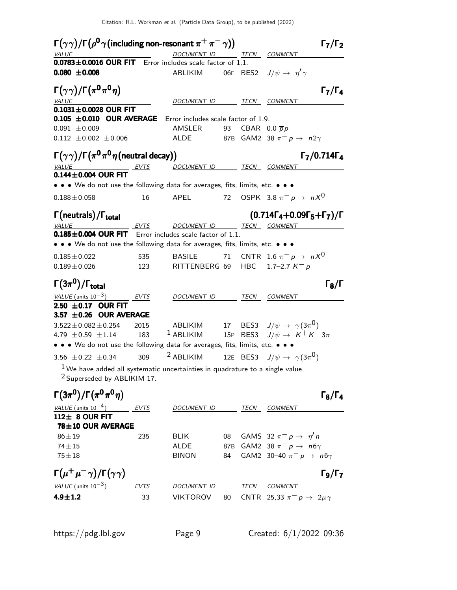$\Gamma(\gamma\gamma)/\Gamma\big(\rho^{\mathsf{0}}\gamma\big)$  (including non-resonant  $\pi^+\,\pi^-\,\gamma)$ )  $\qquad \qquad \Gamma_7/\Gamma_2$  $\Gamma_7/\Gamma_2$ TECN COMMENT  $0.0783 \pm 0.0016$  OUR FIT Error includes scale factor of 1.1. 0.080  $\pm$ 0.008 ABLIKIM 06E BES2  $J/\psi \rightarrow \eta' \gamma$  $\Gamma(\gamma\gamma)/\Gamma(\pi^0\pi^0\eta)$  Γ<sub>7</sub>/Γ<sub>4</sub>  $\Gamma_7/\Gamma_4$ VALUE VALUE DOCUMENT ID TECN COMMENT  $0.1031 \pm 0.0028$  OUR FIT  $0.105 \pm 0.010$  OUR AVERAGE Error includes scale factor of 1.9.  $0.091 \pm 0.009$  AMSLER 93 CBAR  $0.0 \bar{p} p$ 0.112  $\pm$ 0.002  $\pm$ 0.006 ALDE 87B GAM2 38  $\pi^-$  p  $\rightarrow$  n2 $\gamma$  $\Gamma(\gamma\gamma)/\Gamma\bigl(\pi^0\pi^0\eta\text{(neutral decay)}\bigr) \qquad \qquad \qquad \qquad \Gamma_7/0.714\Gamma_4$ VALUE  $EVTS$  DOCUMENT ID TECN COMMENT  $0.144 \pm 0.004$  OUR FIT • • • We do not use the following data for averages, fits, limits, etc. • • •  $0.188 \pm 0.058$  16 APEL 72 OSPK  $3.8 \pi^{-} p \rightarrow n X^{0}$ Γ(neutrals) Γ(neutrals)/Γ<sub>total</sub> Γ (0.714Γ<sub>4</sub>+0.09Γ<sub>5</sub>+Γ<sub>7</sub>)/Γ VALUE EVTS DOCUMENT ID TECN COMMENT  $0.185 \pm 0.004$  OUR FIT Error includes scale factor of 1.1. • • • We do not use the following data for averages, fits, limits, etc. • • •  $0.185 \pm 0.022$  535 BASILE 71 CNTR  $1.6 \pi^- p \to n \times 0$  $0.189 \pm 0.026$  123 RITTENBERG 69 HBC 1.7–2.7 K<sup>-</sup> p Γ $(3\pi^0)/\Gamma_{\text{total}}$  Γ $_8/\Gamma$  $\Gamma_{\rm B}/\Gamma$ VALUE (units 10<sup>-3</sup>) EVTS DOCUMENT ID TECN COMMENT 2.50  $\pm$  0.17 OUR FIT  $3.57 \pm 0.26$  OUR AVERAGE 3.522 $\pm$ 0.082 $\pm$ 0.254 2015 ABLIKIM 17 BES3 J/ $\psi \rightarrow \ \gamma(3\pi^{\text{O}})$ 4.79  $\pm$  0.59  $\pm$  1.14 183 <sup>1</sup> ABLIKIM 15P BES3  $J/\psi \to K^+ K^- 3\pi$ • • • We do not use the following data for averages, fits, limits, etc. • • • 3.56  $\pm$  0.22  $\pm$  0.34  $\phantom{00}$  309  $\phantom{00}$   $^2$  ABLIKIM  $\phantom{00}$  12E BES3  $\phantom{0}$  J/ $\psi$   $\rightarrow$   $\phantom{0}\gamma(3\pi^0)$  $1$ We have added all systematic uncertainties in quadrature to a single value. 2 Superseded by ABLIKIM 17. Γ $(3\pi^0)/\Gamma(\pi^0\pi^0\eta)$  Γε $\sqrt{\Gamma_4}$  $\Gamma_8/\Gamma_4$ VALUE (units  $10^{-4}$ ) EVTS DOCUMENT ID TECN COMMENT 112± 8 OUR FIT 78±10 OUR AVERAGE  $86 \pm 19$  235 BLIK 08 GAMS 32  $\pi^-$  p  $\rightarrow \eta'$  n  $74\pm15$  ALDE 87B GAM2 38  $\pi^-$  p → n6γ 75 $\pm$ 18 BINON 84 GAM2 30–40  $\pi^- p \to n6\gamma$  $\Gamma(\mu^+\mu^-\gamma)/\Gamma(\gamma\gamma)$  Γ<sub>9</sub>/Γ<sub>7</sub> Γ9/ΓVALUE (units  $10^{-3}$ ) EVTS DOCUMENT ID TECN COMMENT **4.9±1.2** 33 VIKTOROV 80 CNTR 25,33  $\pi^-$  p  $\rightarrow$  2 $\mu\gamma$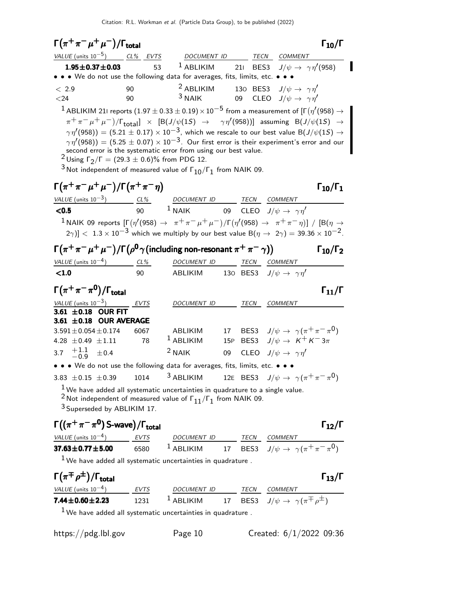| $\Gamma(\pi^+\pi^-\mu^+\mu^-)/\Gamma_{\rm total}$                                                                                                                                                                                                                                                                                                                                                                                                                                                                                                                                                                                                                                                                                                                                                                                                                                                                                                                                                                                                                                                        |      |                                                                             |    |  |                                                                                                    | $\Gamma_{10}/\Gamma$   |  |
|----------------------------------------------------------------------------------------------------------------------------------------------------------------------------------------------------------------------------------------------------------------------------------------------------------------------------------------------------------------------------------------------------------------------------------------------------------------------------------------------------------------------------------------------------------------------------------------------------------------------------------------------------------------------------------------------------------------------------------------------------------------------------------------------------------------------------------------------------------------------------------------------------------------------------------------------------------------------------------------------------------------------------------------------------------------------------------------------------------|------|-----------------------------------------------------------------------------|----|--|----------------------------------------------------------------------------------------------------|------------------------|--|
| $VALUE$ (units $10^{-5}$ ) $CL\%$ EVTS DOCUMENT ID TECN COMMENT                                                                                                                                                                                                                                                                                                                                                                                                                                                                                                                                                                                                                                                                                                                                                                                                                                                                                                                                                                                                                                          |      |                                                                             |    |  |                                                                                                    |                        |  |
| $1.95 \pm 0.37 \pm 0.03$                                                                                                                                                                                                                                                                                                                                                                                                                                                                                                                                                                                                                                                                                                                                                                                                                                                                                                                                                                                                                                                                                 | 53   | <sup>1</sup> ABLIKIM 211 BES3 $J/\psi \rightarrow \gamma \eta'$ (958)       |    |  |                                                                                                    |                        |  |
| • • • We do not use the following data for averages, fits, limits, etc. • • •                                                                                                                                                                                                                                                                                                                                                                                                                                                                                                                                                                                                                                                                                                                                                                                                                                                                                                                                                                                                                            |      |                                                                             |    |  |                                                                                                    |                        |  |
| < 2.9                                                                                                                                                                                                                                                                                                                                                                                                                                                                                                                                                                                                                                                                                                                                                                                                                                                                                                                                                                                                                                                                                                    | 90   | <sup>2</sup> ABLIKIM 130 BES3 $J/\psi \rightarrow \gamma \eta'$<br>$3$ NAIK |    |  |                                                                                                    |                        |  |
| 09 CLEO $J/\psi \rightarrow \gamma \eta'$<br>$<$ 24<br>90<br>$^1$ ABLIKIM 211 reports $(1.97\pm0.33\pm0.19)\times10^{-5}$ from a measurement of [F $(\eta'(958)\rightarrow$<br>$\pi^+\pi^-\mu^+\mu^-)/\Gamma_{\rm total}$ ] $\times$ $[{\rm B}(J/\psi(1S)$ $\rightarrow$ $\gamma\eta'(958))]$ assuming ${\rm B}(J/\psi(1S)$ $\rightarrow$<br>$\gamma\,\eta^{\prime}(958))=(5.21\pm0.17)\times10^{-3},$ which we rescale to our best value B $(J/\psi(1S)\rightarrow$<br>$\gamma\eta'(958)$ ) = (5.25 $\pm$ 0.07) $\times$ 10 <sup>-3</sup> . Our first error is their experiment's error and our<br>second error is the systematic error from using our best value.<br><sup>2</sup> Using $\Gamma_2/\Gamma = (29.3 \pm 0.6)\%$ from PDG 12.<br>$3$ Not independent of measured value of $\Gamma_{10}/\Gamma_1$ from NAIK 09.<br>$\Gamma(\pi^+\pi^-\mu^+\mu^-)/\Gamma(\pi^+\pi^-\eta)$<br>$\Gamma_{10}/\Gamma_1$<br>$\frac{\text{VALUE (units 10}^{-3})}{\text{C0.5}}$ $\frac{\text{CL\%}}{90}$ $\frac{\text{DOCUMENT ID}}{1 \text{ NAIK}}$ $\frac{\text{TECN}}{09}$ $\frac{\text{COMMENT}}{\text{CLEO}}$ |      |                                                                             |    |  |                                                                                                    |                        |  |
|                                                                                                                                                                                                                                                                                                                                                                                                                                                                                                                                                                                                                                                                                                                                                                                                                                                                                                                                                                                                                                                                                                          |      |                                                                             |    |  |                                                                                                    |                        |  |
| <sup>1</sup> NAIK 09 reports $[\Gamma(\eta'(958) \rightarrow \pi^+\pi^-\mu^+\mu^-)/\Gamma(\eta'(958) \rightarrow \pi^+\pi^-\eta)] / [B(\eta \rightarrow$<br>$(2\gamma)] < 1.3 \times 10^{-3}$ which we multiply by our best value B $(\eta \to 2\gamma) = 39.36 \times 10^{-2}$ .                                                                                                                                                                                                                                                                                                                                                                                                                                                                                                                                                                                                                                                                                                                                                                                                                        |      |                                                                             |    |  |                                                                                                    |                        |  |
|                                                                                                                                                                                                                                                                                                                                                                                                                                                                                                                                                                                                                                                                                                                                                                                                                                                                                                                                                                                                                                                                                                          |      |                                                                             |    |  |                                                                                                    |                        |  |
| $\Gamma(\pi^+\pi^-\mu^+\mu^-)/\Gamma(\rho^0\gamma$ (including non-resonant $\pi^+\pi^-\gamma)$ )                                                                                                                                                                                                                                                                                                                                                                                                                                                                                                                                                                                                                                                                                                                                                                                                                                                                                                                                                                                                         |      |                                                                             |    |  |                                                                                                    | $\Gamma_{10}/\Gamma_2$ |  |
| VALUE (units $10^{-4}$ ) CL%                                                                                                                                                                                                                                                                                                                                                                                                                                                                                                                                                                                                                                                                                                                                                                                                                                                                                                                                                                                                                                                                             |      | DOCUMENT ID TECN COMMENT                                                    |    |  |                                                                                                    |                        |  |
| $\leq 1.0$                                                                                                                                                                                                                                                                                                                                                                                                                                                                                                                                                                                                                                                                                                                                                                                                                                                                                                                                                                                                                                                                                               | 90   | ABLIKIM 130 BES3 $J/\psi \rightarrow \gamma \eta'$                          |    |  |                                                                                                    |                        |  |
| $\Gamma(\pi^+\pi^-\pi^0)/\Gamma_{\rm total}$                                                                                                                                                                                                                                                                                                                                                                                                                                                                                                                                                                                                                                                                                                                                                                                                                                                                                                                                                                                                                                                             |      |                                                                             |    |  |                                                                                                    | $\Gamma_{11}/\Gamma$   |  |
| VALUE (units $10^{-3}$ ) EVTS                                                                                                                                                                                                                                                                                                                                                                                                                                                                                                                                                                                                                                                                                                                                                                                                                                                                                                                                                                                                                                                                            |      | DOCUMENT ID                                                                 |    |  | TECN COMMENT                                                                                       |                        |  |
| 3.61 ±0.18 OUR FIT                                                                                                                                                                                                                                                                                                                                                                                                                                                                                                                                                                                                                                                                                                                                                                                                                                                                                                                                                                                                                                                                                       |      |                                                                             |    |  |                                                                                                    |                        |  |
| 3.61 $\pm$ 0.18 OUR AVERAGE                                                                                                                                                                                                                                                                                                                                                                                                                                                                                                                                                                                                                                                                                                                                                                                                                                                                                                                                                                                                                                                                              | 6067 |                                                                             |    |  |                                                                                                    |                        |  |
| $3.591 \pm 0.054 \pm 0.174$<br>4.28 $\pm$ 0.49 $\pm$ 1.11                                                                                                                                                                                                                                                                                                                                                                                                                                                                                                                                                                                                                                                                                                                                                                                                                                                                                                                                                                                                                                                | 78   | ABLIKIM<br>$1$ ABLIKIM                                                      |    |  | 17 BES3 $J/\psi \rightarrow \gamma(\pi^+\pi^-\pi^0)$<br>15P BES3 $J/\psi \rightarrow K^+ K^- 3\pi$ |                        |  |
| 3.7 $\begin{array}{cc} +1.1 \\ -0.9 \end{array}$<br>±0.4                                                                                                                                                                                                                                                                                                                                                                                                                                                                                                                                                                                                                                                                                                                                                                                                                                                                                                                                                                                                                                                 |      | $2$ NAIK                                                                    | 09 |  | CLEO $J/\psi \rightarrow \gamma \eta'$                                                             |                        |  |
| • • • We do not use the following data for averages, fits, limits, etc. • • •                                                                                                                                                                                                                                                                                                                                                                                                                                                                                                                                                                                                                                                                                                                                                                                                                                                                                                                                                                                                                            |      |                                                                             |    |  |                                                                                                    |                        |  |
| 3.83 $\pm$ 0.15 $\pm$ 0.39                                                                                                                                                                                                                                                                                                                                                                                                                                                                                                                                                                                                                                                                                                                                                                                                                                                                                                                                                                                                                                                                               | 1014 | 3 ABLIKIM                                                                   |    |  | 12E BES3 $J/\psi \rightarrow \gamma(\pi^+\pi^-\pi^0)$                                              |                        |  |
| $^1$ We have added all systematic uncertainties in quadrature to a single value.<br>$^2$ Not independent of measured value of $\Gamma_{11}/\Gamma_1$ from NAIK 09.<br><sup>3</sup> Superseded by ABLIKIM 17.                                                                                                                                                                                                                                                                                                                                                                                                                                                                                                                                                                                                                                                                                                                                                                                                                                                                                             |      |                                                                             |    |  |                                                                                                    |                        |  |
| $\Gamma((\pi^+\pi^-\pi^0)$ S-wave) / $\Gamma_{\text{total}}$<br>VALUE (units $10^{-4}$ )                                                                                                                                                                                                                                                                                                                                                                                                                                                                                                                                                                                                                                                                                                                                                                                                                                                                                                                                                                                                                 | EVTS |                                                                             |    |  |                                                                                                    | $\Gamma_{12}/\Gamma$   |  |

**37.63±0.77±5.00** 6580  $^1$  ABLIKIM 17 BES3  $J/\psi \to \gamma(\pi^+\pi^-\pi^0)$  $1$  We have added all systematic uncertainties in quadrature .

 $\Gamma(\pi^{\mp}\rho^{\pm})/\Gamma_{\rm total}$  Γ<sub>13</sub>/Γ VALUE (units  $10^{-4}$ ) EVTS DOCUMENT ID TECN COMMENT **7.44±0.60±2.23** 1231 1 ABLIKIM 17 BES3  $J/\psi \to \gamma(\pi^{\mp}\rho^{\pm})$ 

 $1$  We have added all systematic uncertainties in quadrature .

https://pdg.lbl.gov Page 10 Created: 6/1/2022 09:36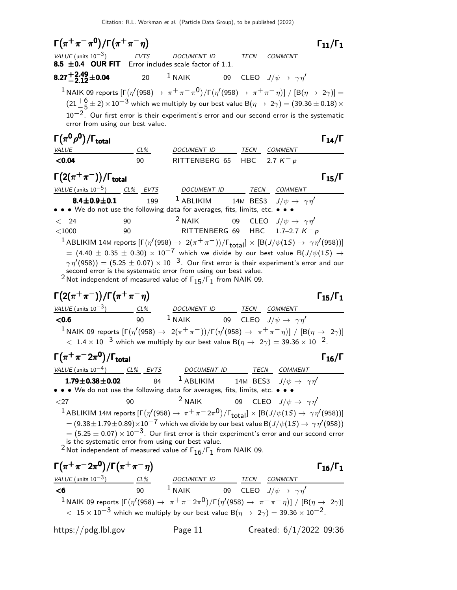$\Gamma(\pi^+\pi^-\pi^0)/\Gamma(\pi^+\pi^-\eta)$   $\Gamma_{11}/\Gamma_1$  $VALUE$  (units 10<sup>-3</sup>) EVTS DOCUMENT ID TECN COMMENT  $8.5 \pm 0.4$  OUR FIT Error includes scale factor of 1.1.  $8.27^{+2.49}_{-2.12}\pm$ 0.04 20  $1$  NAIK 09 CLEO  $J/\psi \rightarrow \gamma \eta'$  $1$  NAIK 09 reports  $[\Gamma(\eta^\prime(958) \to~\pi^+\pi^-\pi^0)/\Gamma(\eta^\prime(958) \to~\pi^+\pi^-\eta)]~/~[{\rm B}(\eta \to~2\gamma)]=$  $(21 + 6 \over 5 + 2) \times 10^{-3}$  which we multiply by our best value B $(\eta \to 2\gamma) = (39.36 \pm 0.18) \times$  $10^{-2}$ . Our first error is their experiment's error and our second error is the systematic error from using our best value.  $\Gamma(\pi^0\rho^0)/\Gamma_{\rm total}$  Γ<sub>14</sub>/Γ /Γ $\Gamma$ total $\Gamma_{14}/\Gamma$ VALUE CL% DOCUMENT ID TECN COMMENT  $\leq$ 0.04 90 RITTENBERG 65 HBC 2.7 K<sup>-</sup> p  $\Gamma(2(\pi^+\pi^-))/\Gamma_{\text{total}}$  Γ<sub>15</sub>/Γ /Γ<sub>total</sub> Γ<sub>15</sub>/Γ VALUE (units  $10^{-5}$ ) CL% EVTS DOCUMENT ID TECN COMMENT 8.4 $\pm$ 0.9 $\pm$ 0.1 199  $^1$  Ablikim 14m bess J/ $\psi \rightarrow \gamma \eta'$ • • • We do not use the following data for averages, fits, limits, etc. •  $<$  24 90  $<$  2 NAIK 09 CLEO  $J/\psi \rightarrow \gamma \eta'$  $<$ 1000 90 RITTENBERG 69 HBC 1.7–2.7 K<sup>-</sup> p  $^1$  ABLIKIM 14M reports  $[\Gamma(\eta'(958)\to\ 2(\pi^+\pi^-))/\Gamma_{\rm total}]\times[{\rm B}(J/\psi(1S)\to\ \gamma\eta'(958))]$  $=$  (4.40  $\pm$  0.35  $\pm$  0.30)  $\times$  10<sup>-7</sup> which we divide by our best value B(J/ $\psi$ (15)  $\rightarrow$  $\gamma\, \eta^{\prime} (958)) = (5.25 \pm 0.07) \times 10^{-3}.$  Our first error is their experiment's error and our second error is the systematic error from using our best value.  $^2$ Not independent of measured value of  $\Gamma_{15}/\Gamma_{1}^{+}$  from NAIK 09.  $\Gamma(2(\pi^+\pi^-))/\Gamma(\pi^+\pi^-\eta)$  Γ<sub>15</sub>/Γ<sub>1</sub>  $\Gamma_{15}/\Gamma_1$ VALUE (units  $10^{-3}$ ) CL% DOCUMENT ID TECN COMMENT **<0.6** 90  $^1$  NAIK 09 CLEO  $J/\psi \rightarrow \gamma \eta'$  $1$  NAIK 09 reports  $[\Gamma(\eta^\prime(958) \to 2(\pi^+\pi^-))/\Gamma(\eta^\prime(958) \to \pi^+\pi^-\eta)]$  /  $[\rm B(\eta \to 2\gamma)]$  $< 1.4 \times 10^{-3}$  which we multiply by our best value B $(\eta \to 2\gamma) = 39.36 \times 10^{-2}$ .  $\Gamma(\pi^+\pi^-2\pi^0)/\Gamma_{\rm total}$  Γ<sub>16</sub>/Γ /Γ $\Gamma_{\rm total}$ Γ VALUE (units  $10^{-4}$ )  $CL\%$  EVTS DOCUMENT ID TECN COMMENT **1.79±0.38±0.02** 84 <sup>1</sup> ABLIKIM 14M BES3  $J/\psi \to \gamma \eta'$ • • • We do not use the following data for averages, fits, limits, etc. • •  $\langle 27 \rangle$  90  $^2$  NAIK 09 CLEO  $J/\psi \rightarrow \gamma \eta'$  $^1$  ABLIKIM 14M reports [Γ $(\eta'$ (958)  $\rightarrow\ \pi^+\pi^-2\pi^0)/$ Γ $_{\rm total}$ ]  $\times$  [B(J/ $\psi(1S)\rightarrow\ \gamma\eta'($ 958))]  $=(9.38\pm 1.79\pm 0.89)\times 10^{-7}$  which we divide by our best value B $(J/\psi(1S)\rightarrow\ \gamma\eta^{\prime}(958))$  $= (5.25 \pm 0.07) \times 10^{-3}$ . Our first error is their experiment's error and our second error is the systematic error from using our best value.  $^2$ Not independent of measured value of  $\Gamma_{16}/\Gamma_1$  from NAIK 09.  $\Gamma(\pi^+\pi^- 2\pi^0)/\Gamma(\pi^+\pi^-\eta)$  Γ<sub>16</sub>/Γ<sub>1</sub>  $VALUE$  (units 10<sup>-3</sup>) CL% DOCUMENT ID TECN COMMENT  $\leq$ 6 90  $^1$  NAIK 09 CLEO  $J/\psi \rightarrow \gamma \eta'$  $^1$ NAIK 09 reports  $[\Gamma(\eta^\prime(958)\to~\pi^+\pi^-2\pi^0)/\Gamma(\eta^\prime(958)\to~\pi^+\pi^-\eta)]~/~[{\rm B}(\eta\to~2\gamma)]$  $<$  15  $\times$  10 $^{-3}$  which we multiply by our best value B $(\eta\rightarrow~2\gamma)=$  39.36  $\times$  10 $^{-2}.$ 

https://pdg.lbl.gov Page 11 Created: 6/1/2022 09:36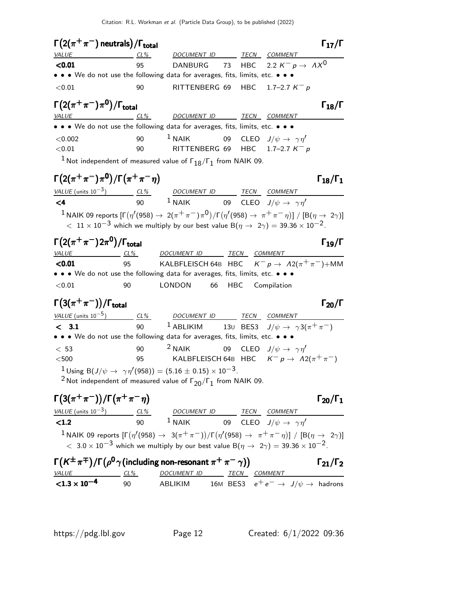| $\Gamma(2(\pi^+\pi^-)$ neutrals) / $\Gamma_{\rm total}$                                                                                                                                                                                               |        |                                                                                                                                        |     |                                        | $\Gamma_{17}/\Gamma$   |
|-------------------------------------------------------------------------------------------------------------------------------------------------------------------------------------------------------------------------------------------------------|--------|----------------------------------------------------------------------------------------------------------------------------------------|-----|----------------------------------------|------------------------|
| VALUE                                                                                                                                                                                                                                                 | $CL\%$ | DOCUMENT ID TECN COMMENT                                                                                                               |     |                                        |                        |
| < 0.01                                                                                                                                                                                                                                                | 95     | <b>DANBURG</b>                                                                                                                         | 73  | HBC 2.2 $K^- p \rightarrow AX^0$       |                        |
| • • • We do not use the following data for averages, fits, limits, etc. • • •                                                                                                                                                                         |        |                                                                                                                                        |     |                                        |                        |
| < 0.01                                                                                                                                                                                                                                                | 90     | RITTENBERG 69 HBC 1.7-2.7 $K^- p$                                                                                                      |     |                                        |                        |
| $\Gamma\big(2(\pi^+\pi^-)\pi^0\big)/\Gamma_{\rm total}$                                                                                                                                                                                               |        |                                                                                                                                        |     |                                        | $\Gamma_{18}/\Gamma$   |
| $VALUE$ $CL\%$                                                                                                                                                                                                                                        |        | DOCUMENT ID TECN COMMENT                                                                                                               |     |                                        |                        |
| • • • We do not use the following data for averages, fits, limits, etc. • • •                                                                                                                                                                         |        |                                                                                                                                        |     |                                        |                        |
| < 0.002                                                                                                                                                                                                                                               | 90     | $1$ NAIK<br>RITTENBERG 69 HBC $1.7-2.7 K^- p$                                                                                          | 09  | CLEO $J/\psi \rightarrow \gamma \eta'$ |                        |
| < 0.01                                                                                                                                                                                                                                                | 90     |                                                                                                                                        |     |                                        |                        |
|                                                                                                                                                                                                                                                       |        | $^1$ Not independent of measured value of $\Gamma_{18}/\Gamma_1$ from NAIK 09.                                                         |     |                                        |                        |
| $\Gamma(2(\pi^+\pi^-)\pi^0)/\Gamma(\pi^+\pi^-\eta)$                                                                                                                                                                                                   |        |                                                                                                                                        |     |                                        | $\Gamma_{18}/\Gamma_1$ |
|                                                                                                                                                                                                                                                       |        |                                                                                                                                        |     |                                        |                        |
| $\frac{\text{VALUE (units 10}^{-3})}{\text{C4}}$ $\frac{\text{CL\%}}{90}$ $\frac{\text{DOCUMENT ID}}{1 \text{ NAIK}}$ $\frac{\text{TECN}}{09}$ $\frac{\text{CDMMENT}}{\text{CLEO}}$ $\frac{\text{COMMENT}}{\text{J/\psi \rightarrow \gamma \gamma'}}$ |        |                                                                                                                                        |     |                                        |                        |
|                                                                                                                                                                                                                                                       |        | $^1$ NAIK 09 reports $[\Gamma(\eta'(958) \to 2(\pi^+\pi^-)\pi^0)/\Gamma(\eta'(958) \to \pi^+\pi^-\eta)]$ / $[\rm B(\eta \to 2\gamma)]$ |     |                                        |                        |
|                                                                                                                                                                                                                                                       |        | $<~11\times 10^{-3}$ which we multiply by our best value B $(\eta\rightarrow~2\gamma)=39.36\times 10^{-2}$ .                           |     |                                        |                        |
| $\Gamma(2(\pi^{+}\pi^{-})2\pi^{0})/\Gamma_{\rm total}$                                                                                                                                                                                                |        |                                                                                                                                        |     |                                        | $\Gamma_{19}/\Gamma$   |
| VALUE CL% DOCUMENT ID TECN COMMENT                                                                                                                                                                                                                    |        |                                                                                                                                        |     |                                        |                        |
| < 0.01                                                                                                                                                                                                                                                | 95     | KALBFLEISCH 64B HBC $K^- p \to A2(\pi^+\pi^-) + \text{MM}$                                                                             |     |                                        |                        |
| • • • We do not use the following data for averages, fits, limits, etc. • • •                                                                                                                                                                         |        |                                                                                                                                        |     |                                        |                        |
| < 0.01                                                                                                                                                                                                                                                | 90     | LONDON<br>66                                                                                                                           | HBC | Compilation                            |                        |
| $\Gamma(3(\pi^+\pi^-))/\Gamma_{\rm total}$                                                                                                                                                                                                            |        |                                                                                                                                        |     |                                        | $\Gamma_{20}/\Gamma$   |
| $VALUE$ (units 10 <sup>-5</sup> ) CL% DOCUMENT ID TECN COMMENT                                                                                                                                                                                        |        |                                                                                                                                        |     |                                        |                        |
| < 3.1                                                                                                                                                                                                                                                 | 90     | <sup>1</sup> ABLIKIM 130 BES3 $J/\psi \rightarrow \gamma 3(\pi^+\pi^-)$                                                                |     |                                        |                        |
| • • • We do not use the following data for averages, fits, limits, etc. • • •                                                                                                                                                                         |        |                                                                                                                                        |     |                                        |                        |
| < 53                                                                                                                                                                                                                                                  | 90     | $2$ NAIK                                                                                                                               | 09  | CLEO $J/\psi \rightarrow \gamma \eta'$ |                        |
| $500$                                                                                                                                                                                                                                                 | 95     | KALBFLEISCH 64B HBC $K^ p \to A2(\pi^+\pi^-)$                                                                                          |     |                                        |                        |
|                                                                                                                                                                                                                                                       |        | <sup>1</sup> Using B(J/ $\psi \rightarrow \gamma \eta'(958)$ ) = (5.16 ± 0.15) × 10 <sup>-3</sup> .                                    |     |                                        |                        |
|                                                                                                                                                                                                                                                       |        | <sup>2</sup> Not independent of measured value of $\Gamma_{20}/\Gamma_{1}$ from NAIK 09.                                               |     |                                        |                        |
| $\Gamma\left(3(\pi^+\pi^-)\right)/\Gamma\left(\pi^+\pi^-\eta\right)$                                                                                                                                                                                  |        |                                                                                                                                        |     |                                        | $\Gamma_{20}/\Gamma_1$ |
|                                                                                                                                                                                                                                                       |        |                                                                                                                                        |     |                                        |                        |
| $\frac{VALUE \text{ (units 10}^{-3})}{1}$ $\frac{CL\%}{NAIK}$ $\frac{DOCUMENT \text{ } ID}{09}$ $\frac{TECN}{CLEO}$ $\frac{COMMENT}{J/\psi \rightarrow \gamma \eta'}$                                                                                 |        |                                                                                                                                        |     |                                        |                        |
|                                                                                                                                                                                                                                                       |        |                                                                                                                                        |     |                                        |                        |
|                                                                                                                                                                                                                                                       |        | <sup>1</sup> NAIK 09 reports $[\Gamma(\eta'(958) \to 3(\pi^+\pi^-))/\Gamma(\eta'(958) \to \pi^+\pi^-\eta)] / [B(\eta \to 2\gamma)]$    |     |                                        |                        |
|                                                                                                                                                                                                                                                       |        | $<~3.0\times 10^{-3}$ which we multiply by our best value B $(\eta\rightarrow~2\gamma)=39.36\times 10^{-2}$ .                          |     |                                        |                        |
| $\Gamma(K^{\pm}\pi^{\mp})/\Gamma(\rho^0\gamma)$ (including non-resonant $\pi^+\pi^-\gamma)$ )                                                                                                                                                         |        |                                                                                                                                        |     |                                        | $\Gamma_{21}/\Gamma_2$ |

| $\Gamma(K^{\pm}\pi^+) / \Gamma(\rho^0\gamma)$ (including non-resonant $\pi^+\pi^-\gamma)$ ) |     |             |              | $\Gamma_{21}/\Gamma_2$                                   |
|---------------------------------------------------------------------------------------------|-----|-------------|--------------|----------------------------------------------------------|
| <i>VALUE</i>                                                                                | CL% | DOCUMENT ID | TECN COMMENT |                                                          |
| ${<}1.3 \times 10^{-4}$                                                                     | 90. | ABLIKIM     |              | 16M BES3 $e^+e^- \rightarrow J/\psi \rightarrow$ hadrons |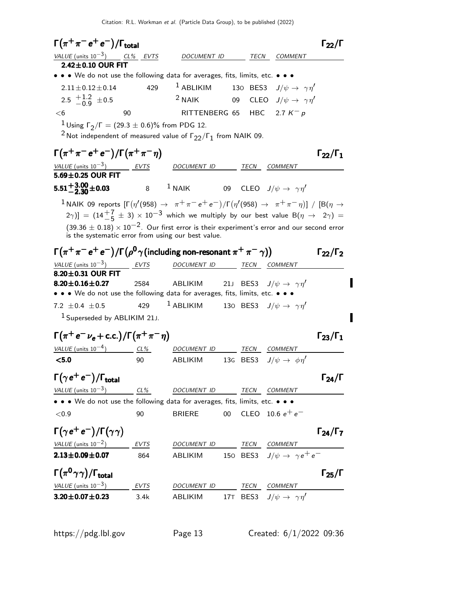Citation: R.L. Workman et al. (Particle Data Group), to be published (2022)

 $\Gamma(\pi^+\pi^-e^+e^-)/\Gamma_{\rm total}$   $\Gamma_{22}/\Gamma$ VALUE (units  $10^{-3}$ ) CL% EVTS DOCUMENT ID TECN COMMENT  $2.42 \pm 0.10$  OUR FIT • • • We do not use the following data for averages, fits, limits, etc. • • •  $2.11 \pm 0.12 \pm 0.14$  429  $1$  ABLIKIM 130 BES3  $J/\psi \to \gamma \eta'$ 2.5  $\pm 1.2$  $\pm 0.9^{\circ}$  ±0.5 <sup>2</sup> NAIK 09 CLEO  $J/\psi \rightarrow \gamma \eta'$  $<$ 6 90 RITTENBERG 65 HBC 2.7 K<sup>-</sup> p  $\frac{1}{2}$ Using Γ<sub>2</sub>/Γ = (29.3 ± 0.6)% from PDG 12.  $^2$ Not independent of measured value of  $\Gamma_{22}/\Gamma_{1}$  from NAIK 09.  $\Gamma(\pi^+\pi^-e^+e^-)/\Gamma(\pi^+\pi^-\eta)$   $\Gamma_{22}/\Gamma_1$  $\Gamma_{22}/\Gamma_1$  $VALUE$  (units 10<sup>-3</sup>) EVTS DOCUMENT ID TECN COMMENT  $5.69 \pm 0.25$  OUR FIT **5.51**<sup>+</sup>**3.00** ± **0.03** 8  $^1$  NAIK 09 CLEO  $J/\psi \rightarrow \gamma \eta'$  $^1$ ΝΑΙΚ 09 reports  $[\Gamma(\eta^\prime(958) \to~\pi^+\pi^-e^+e^-)/\Gamma(\eta^\prime(958) \to~\pi^+\pi^-\eta)]$  /  $[\rm B(\eta \to$  $[2\gamma)]= (14\frac{+7}{-5} \pm 3)\times 10^{-3}$  which we multiply by our best value  $\mathsf{B}(\eta\to~2\gamma)=0$  $(39.36 \pm 0.18) \times 10^{-2}$ . Our first error is their experiment's error and our second error is the systematic error from using our best value.  $\Gamma(\pi^+\pi^-{\,e^+}\,{e^-})/\Gamma\bigl(\rho^0\,\gamma\text{(including non-resonant}\,\pi^+\,\pi^-\,\gamma)\bigr) \qquad\qquad \Gamma_{22}/\Gamma_2$ VALUE (units  $10^{-3}$ ) ) EVTS DOCUMENT ID TECN COMMENT  $8.20 \pm 0.31$  OUR FIT **8.20±0.16±0.27** 2584 ABLIKIM 21J BES3  $J/\psi \to \gamma \eta'$ • • • We do not use the following data for averages, fits, limits, etc. • • • 7.2  $\pm$  0.4  $\pm$  0.5 429 <sup>1</sup> ABLIKIM 130 BES3  $J/\psi \to \gamma \eta'$ 1 Superseded by ABLIKIM 21J.  $\Gamma(\pi^+e^-\nu_e + \text{c.c.})/\Gamma(\pi^+\pi^-\eta)$  Γ<sub>23</sub>/Γ<sub>1</sub> VALUE (units  $10^{-4}$ ) CL% DOCUMENT ID TECN COMMENT  $\leq$ 5.0 90 ABLIKIM 13G BES3  $J/\psi \rightarrow \phi \eta'$  $\Gamma(\gamma e^+e^-)/\Gamma_{\rm total}$  Γ<sub>24</sub>/Γ VALUE (units  $10^{-3}$ ) CL% DOCUMENT ID TECN COMMENT • • • We do not use the following data for averages, fits, limits, etc. • • •  $<$  0.9  $<$  0.9  $\,$  90 BRIERE 00 CLEO 10.6  $e^+$  e $^ \Gamma(\gamma e^+e^-)/\Gamma(\gamma\gamma)$  Γ<sub>24</sub>/Γ<sub>7</sub>  $\Gamma_{24}/\Gamma_{7}$ VALUE (units  $10^{-2}$ ) EVTS DOCUMENT ID TECN COMMENT **2.13±0.09±0.07** 864 ABLIKIM 150 BES3  $J/\psi \to \gamma e^+ e^-$ Γ $(\pi^0 \gamma \gamma)$ /Γ<sub>total</sub> 25 για το γ VALUE (units  $10^{-3}$ ) EVTS DOCUMENT ID TECN COMMENT **3.20±0.07±0.23** 3.4k ABLIKIM 17T BES3  $J/\psi \to \gamma \eta'$ 

I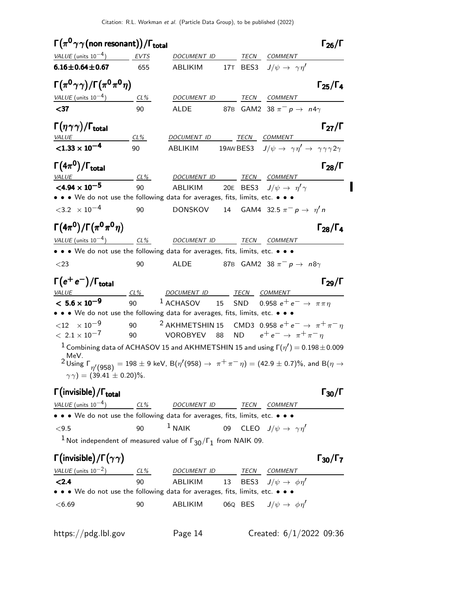| $\Gamma(\pi^0\gamma\gamma$ (non resonant))/ $\Gamma_{total}$                                                                                                                             |        |                                                                                                 |    |           |                                                                             | $\Gamma_{26}/\Gamma$   |
|------------------------------------------------------------------------------------------------------------------------------------------------------------------------------------------|--------|-------------------------------------------------------------------------------------------------|----|-----------|-----------------------------------------------------------------------------|------------------------|
| VALUE (units $10^{-4}$ ) EVTS                                                                                                                                                            |        | DOCUMENT ID                                                                                     |    | TECN      | <b>COMMENT</b>                                                              |                        |
| $6.16 \pm 0.64 \pm 0.67$                                                                                                                                                                 | 655    | ABLIKIM                                                                                         |    |           | 17T BES3 $J/\psi \rightarrow \gamma \eta'$                                  |                        |
| $\Gamma(\pi^0\gamma\gamma)/\Gamma(\pi^0\pi^0\eta)$                                                                                                                                       |        |                                                                                                 |    |           |                                                                             | $\Gamma_{25}/\Gamma_4$ |
| VALUE (units $10^{-4}$ )                                                                                                                                                                 | $CL\%$ | DOCUMENT ID                                                                                     |    | TECN      | COMMENT                                                                     |                        |
| $37$                                                                                                                                                                                     | 90     | ALDE                                                                                            |    |           | 87B GAM2 38 $\pi^ p \rightarrow n4\gamma$                                   |                        |
| $\Gamma(\eta\gamma\gamma)/\Gamma_{\rm total}$                                                                                                                                            |        |                                                                                                 |    |           |                                                                             | $\Gamma_{27}/\Gamma$   |
| <b>VALUE</b>                                                                                                                                                                             | CL%    | DOCUMENT ID                                                                                     |    |           | <b>TECN COMMENT</b>                                                         |                        |
| $<$ 1.33 $\times$ 10 <sup>-4</sup>                                                                                                                                                       | 90     | ABLIKIM                                                                                         |    | 19AW BES3 | $J/\psi \rightarrow \gamma \eta' \rightarrow \gamma \gamma \gamma 2 \gamma$ |                        |
| $\Gamma(4\pi^0)/\Gamma_{\rm total}$<br><b>VALUE</b>                                                                                                                                      | $CL\%$ | DOCUMENT ID TECN COMMENT                                                                        |    |           |                                                                             | $\Gamma_{28}/\Gamma$   |
| $<$ 4.94 $\times$ 10 <sup>-5</sup>                                                                                                                                                       | 90     | ABLIKIM                                                                                         |    |           | 20E BES3 $J/\psi \rightarrow \eta' \gamma$                                  |                        |
| • • • We do not use the following data for averages, fits, limits, etc. • • •                                                                                                            |        |                                                                                                 |    |           |                                                                             |                        |
| $<$ 3.2 $\times$ 10 <sup>-4</sup>                                                                                                                                                        | 90     | <b>DONSKOV</b>                                                                                  |    |           | 14 GAM4 32.5 $\pi^- p \to \eta' n$                                          |                        |
| $\Gamma(4\pi^0)/\Gamma(\pi^0\pi^0\eta)$                                                                                                                                                  |        |                                                                                                 |    |           |                                                                             | $\Gamma_{28}/\Gamma_4$ |
| $VALUE$ (units $10^{-4}$ ) CL%                                                                                                                                                           |        | <b>DOCUMENT ID</b>                                                                              |    | TECN      | <i>COMMENT</i>                                                              |                        |
| • • • We do not use the following data for averages, fits, limits, etc. • • •                                                                                                            |        |                                                                                                 |    |           |                                                                             |                        |
| $<$ 23                                                                                                                                                                                   | 90     | ALDE                                                                                            |    |           | 87B GAM2 38 $\pi^ p \rightarrow n8\gamma$                                   |                        |
| $\Gamma(e^+e^-)/\Gamma_{\rm total}$                                                                                                                                                      |        |                                                                                                 |    |           |                                                                             | $\Gamma_{29}/\Gamma$   |
| VALUE                                                                                                                                                                                    | $CL\%$ | DOCUMENT ID TECN COMMENT                                                                        |    |           |                                                                             |                        |
| $< 5.6 \times 10^{-9}$                                                                                                                                                                   | 90     | $1$ ACHASOV                                                                                     | 15 |           | SND 0.958 $e^+e^- \rightarrow \pi \pi \eta$                                 |                        |
| • • We do not use the following data for averages, fits, limits, etc. • • •                                                                                                              |        |                                                                                                 |    |           |                                                                             |                        |
| ${12 \times 10^{-9}}$<br>$< 2.1 \times 10^{-7}$                                                                                                                                          | 90     | 90 <sup>2</sup> AKHMETSHIN 15 CMD3 0.958 $e^+e^- \rightarrow \pi^+\pi^-\eta$<br><b>VOROBYEV</b> | 88 | <b>ND</b> | $e^+e^- \rightarrow \pi^+\pi^-\eta$                                         |                        |
| $^1$ Combining data of ACHASOV 15 and AKHMETSHIN 15 and using $\Gamma(\eta')$ $=$ 0.198 $\pm$ 0.009                                                                                      |        |                                                                                                 |    |           |                                                                             |                        |
| MeV.                                                                                                                                                                                     |        |                                                                                                 |    |           |                                                                             |                        |
| $2$ Using $\Gamma_{\eta'}(958) = 198 \pm 9$ keV, $B(\eta'(958) \rightarrow \pi^+ \pi^- \eta) = (42.9 \pm 0.7)\%$ , and $B(\eta \rightarrow 0.7)$<br>$\gamma \gamma$ ) = (39.41 ± 0.20)%. |        |                                                                                                 |    |           |                                                                             |                        |
| $\Gamma(\text{invisible})/\Gamma_{\text{total}}$                                                                                                                                         |        |                                                                                                 |    |           |                                                                             | $\Gamma_{30}/\Gamma$   |
| VALUE (units $10^{-4}$ ) CL%                                                                                                                                                             |        | DOCUMENT ID                                                                                     |    |           | TECN COMMENT                                                                |                        |
| • • We do not use the following data for averages, fits, limits, etc. • • •                                                                                                              |        |                                                                                                 |    |           |                                                                             |                        |
| $<9.5$                                                                                                                                                                                   | 90     | $1$ NAIK                                                                                        |    |           | 09 CLEO $J/\psi \rightarrow \gamma \eta'$                                   |                        |
| $^1$ Not independent of measured value of $\Gamma_{30}/\Gamma_1$ from NAIK 09.                                                                                                           |        |                                                                                                 |    |           |                                                                             |                        |
| $\Gamma(\text{invisible})/\Gamma(\gamma\gamma)$                                                                                                                                          |        |                                                                                                 |    |           |                                                                             | $\Gamma_{30}/\Gamma_7$ |
| VALUE (units $10^{-2}$ )                                                                                                                                                                 | $CL\%$ | DOCUMENT ID                                                                                     |    | TECN      | COMMENT                                                                     |                        |

**<2.4** 90 ABLIKIM 13 BES3  $J/\psi \rightarrow \phi \eta'$ • • • We do not use the following data for averages, fits, limits, etc. • • •  $<$ 6.69 90 ABLIKIM 06Q BES  $J/\psi \rightarrow \phi \eta'$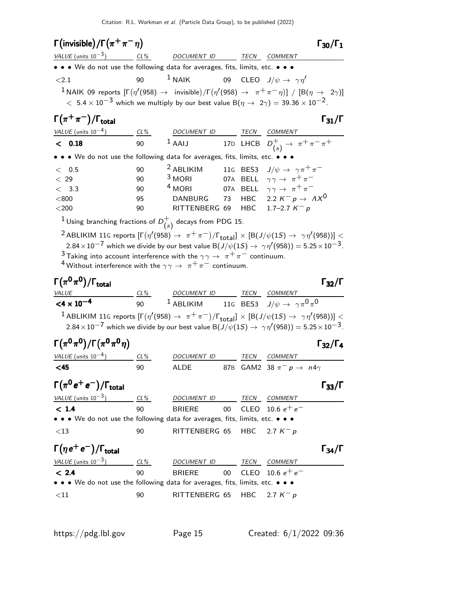| $\Gamma$ (invisible)/ $\Gamma(\pi^+\pi^-\eta)$                                                                                                                                                 |     |                                                                                                                                           |        |             | $\Gamma_{30}/\Gamma_1$                                                                                                                                                                                                                                                       |
|------------------------------------------------------------------------------------------------------------------------------------------------------------------------------------------------|-----|-------------------------------------------------------------------------------------------------------------------------------------------|--------|-------------|------------------------------------------------------------------------------------------------------------------------------------------------------------------------------------------------------------------------------------------------------------------------------|
| VALUE (units $10^{-3}$ ) CL% DOCUMENT ID TECN COMMENT                                                                                                                                          |     |                                                                                                                                           |        |             |                                                                                                                                                                                                                                                                              |
| • • • We do not use the following data for averages, fits, limits, etc. • • •                                                                                                                  |     |                                                                                                                                           |        |             |                                                                                                                                                                                                                                                                              |
| ${<}2.1$                                                                                                                                                                                       | 90  | $1$ NAIK                                                                                                                                  |        |             | 09 CLEO $J/\psi \rightarrow \gamma \eta'$                                                                                                                                                                                                                                    |
| $<\,5.4\times10^{-3}$ which we multiply by our best value B $(\eta\rightarrow\ 2\gamma)=39.36\times10^{-2}$ .                                                                                  |     |                                                                                                                                           |        |             |                                                                                                                                                                                                                                                                              |
| $\Gamma(\pi^+\pi^-)/\Gamma_{\rm total}$                                                                                                                                                        |     |                                                                                                                                           |        |             | $\Gamma_{31}/\Gamma$                                                                                                                                                                                                                                                         |
| VALUE (units $10^{-4}$ ) CL%                                                                                                                                                                   |     | DOCUMENT ID TECN COMMENT                                                                                                                  |        |             |                                                                                                                                                                                                                                                                              |
| < 0.18                                                                                                                                                                                         |     | 90 $1$ AAIJ                                                                                                                               |        |             | 17D LHCB $D_{(s)}^+ \to \pi^+ \pi^- \pi^+$                                                                                                                                                                                                                                   |
| • • We do not use the following data for averages, fits, limits, etc. • • •                                                                                                                    |     |                                                                                                                                           |        |             |                                                                                                                                                                                                                                                                              |
| $<$ 0.5                                                                                                                                                                                        | 90  | $2$ ABLIKIM                                                                                                                               |        |             | 116 BES3 $J/\psi \rightarrow \gamma \pi^+ \pi^-$                                                                                                                                                                                                                             |
| < 29                                                                                                                                                                                           | 90  | $3$ MORI                                                                                                                                  |        |             | 07A BELL $\gamma \gamma \rightarrow \pi^+ \pi^-$                                                                                                                                                                                                                             |
| < 3.3                                                                                                                                                                                          | 90  | <sup>4</sup> MORI                                                                                                                         |        |             | 07A BELL $\gamma \gamma \rightarrow \pi^+ \pi^-$                                                                                                                                                                                                                             |
| < 800                                                                                                                                                                                          | 95  | <b>DANBURG</b>                                                                                                                            | 73     |             | HBC 2.2 $K^- p \rightarrow AX^0$                                                                                                                                                                                                                                             |
| $<$ 200                                                                                                                                                                                        | 90  | RITTENBERG 69 HBC 1.7-2.7 $K^- p$                                                                                                         |        |             |                                                                                                                                                                                                                                                                              |
| $^{1}$ Using branching fractions of $D_{(s)}^{+}$ decays from PDG 15.                                                                                                                          |     |                                                                                                                                           |        |             |                                                                                                                                                                                                                                                                              |
| <sup>3</sup> Taking into account interference with the $\gamma\gamma \to \pi^+\pi^-$ continuum.<br><sup>4</sup> Without interference with the $\gamma\gamma \rightarrow \pi^+\pi^-$ continuum. |     |                                                                                                                                           |        |             | $2.84\times10^{-7}$ which we divide by our best value B $(J/\psi(1S) \to \ \gamma\eta'(958)) = 5.25\times10^{-3}$ .                                                                                                                                                          |
|                                                                                                                                                                                                |     |                                                                                                                                           |        |             |                                                                                                                                                                                                                                                                              |
| $\Gamma(\pi^0\pi^0)/\Gamma_{\rm total}$                                                                                                                                                        |     |                                                                                                                                           |        |             | $\Gamma_{32}/\Gamma$                                                                                                                                                                                                                                                         |
| <b>VALUE</b>                                                                                                                                                                                   |     |                                                                                                                                           |        |             |                                                                                                                                                                                                                                                                              |
| $<$ 4 $\times$ 10 <sup>-4</sup>                                                                                                                                                                |     | $\frac{CL\%}{90}$ $\frac{DOCUMENT \; ID}{1 \; ABLIKIM}$ $\frac{TECN}{116}$ $\frac{COMMENT}{BES3}$ $J/\psi \rightarrow \gamma \pi^0 \pi^0$ |        |             |                                                                                                                                                                                                                                                                              |
|                                                                                                                                                                                                |     |                                                                                                                                           |        |             | <sup>1</sup> ABLIKIM 11G reports $[\Gamma(\eta'(958) \to \pi^+\pi^-)/\Gamma_{\text{total}}] \times [B(J/\psi(1S) \to \gamma\eta'(958))] <$<br>$2.84 \times 10^{-7}$ which we divide by our best value B $(J/\psi(1S) \rightarrow \gamma \eta'(958)) = 5.25 \times 10^{-3}$ . |
| $\Gamma(\pi^0\pi^0)/\Gamma(\pi^0\pi^0\eta)$                                                                                                                                                    |     |                                                                                                                                           |        |             | $\Gamma_{32}/\Gamma_4$                                                                                                                                                                                                                                                       |
| $VALUE$ (units $10^{-4}$ ) CL%                                                                                                                                                                 |     | <i>DOCUMENT ID</i>                                                                                                                        |        |             | <i>TECN COMMENT</i>                                                                                                                                                                                                                                                          |
| <45                                                                                                                                                                                            | 90  | <b>ALDE</b>                                                                                                                               |        |             | 87B GAM2 38 $\pi^ p \rightarrow n4\gamma$                                                                                                                                                                                                                                    |
| $\Gamma(\pi^0 e^+ e^-)/\Gamma_{\rm total}$                                                                                                                                                     |     |                                                                                                                                           |        |             | $\Gamma_{33}/\Gamma$                                                                                                                                                                                                                                                         |
| VALUE (units $10^{-3}$ )                                                                                                                                                                       | CL% | DOCUMENT ID                                                                                                                               |        | TECN        | COMMENT                                                                                                                                                                                                                                                                      |
| < 1.4                                                                                                                                                                                          | 90  | <b>BRIERE</b>                                                                                                                             | 00     | <b>CLEO</b> | 10.6 $e^+e^-$                                                                                                                                                                                                                                                                |
| • • • We do not use the following data for averages, fits, limits, etc. • • •                                                                                                                  |     |                                                                                                                                           |        |             |                                                                                                                                                                                                                                                                              |
| $<13\,$                                                                                                                                                                                        | 90  | RITTENBERG 65                                                                                                                             |        | HBC         | 2.7 $K^- p$                                                                                                                                                                                                                                                                  |
| $\Gamma(\eta e^+e^-)/\Gamma_{\rm total}$                                                                                                                                                       |     |                                                                                                                                           |        |             | $\Gamma_{34}/\Gamma$                                                                                                                                                                                                                                                         |
| VALUE (units $10^{-3}$ )                                                                                                                                                                       | CL% | DOCUMENT ID                                                                                                                               |        | TECN        | COMMENT                                                                                                                                                                                                                                                                      |
| < 2.4                                                                                                                                                                                          | 90  | <b>BRIERE</b>                                                                                                                             | $00\,$ |             | CLEO 10.6 $e^+e^-$                                                                                                                                                                                                                                                           |
| • • • We do not use the following data for averages, fits, limits, etc. • • •                                                                                                                  |     |                                                                                                                                           |        |             |                                                                                                                                                                                                                                                                              |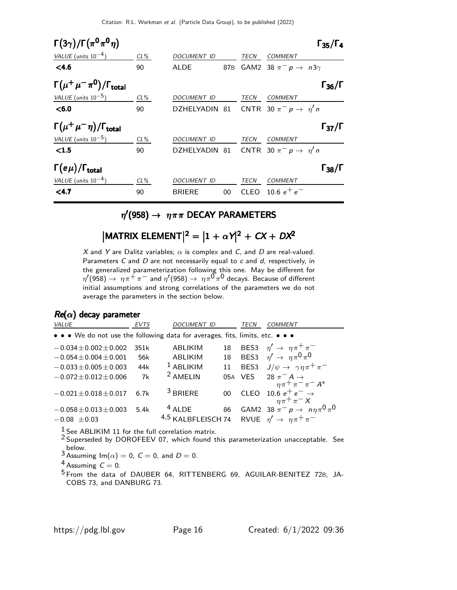Citation: R.L. Workman et al. (Particle Data Group), to be published (2022)

| $\Gamma(3\gamma)/\Gamma(\pi^0\pi^0\eta)$     |        |                                             |         |       |                                           | $\Gamma_{35}/\Gamma_4$ |
|----------------------------------------------|--------|---------------------------------------------|---------|-------|-------------------------------------------|------------------------|
| VALUE (units $10^{-4}$ )                     | $CL\%$ | DOCUMENT ID                                 |         | TECN  | <b>COMMENT</b>                            |                        |
| < 4.6                                        | 90     | ALDE                                        |         |       | 87B GAM2 38 $\pi^ p \rightarrow n3\gamma$ |                        |
| $\Gamma(\mu^+\mu^-\pi^0)/\Gamma_{\rm total}$ |        |                                             |         |       |                                           | $\Gamma_{36}/\Gamma$   |
| VALUE (units $10^{-5}$ )                     | CL%    | DOCUMENT ID                                 |         | TECN  | COMMENT                                   |                        |
| < 6.0                                        | 90     | DZHELYADIN 81 CNTR 30 $\pi^- p \to \eta' n$ |         |       |                                           |                        |
| $\Gamma(\mu^+\mu^-\eta)/\Gamma_{\rm total}$  |        |                                             |         |       |                                           | $\Gamma_{37}/\Gamma$   |
| VALUE (units $10^{-5}$ )                     | CL%    | DOCUMENT ID                                 |         | TECN  | <b>COMMENT</b>                            |                        |
| $\leq 1.5$                                   | 90     | DZHELYADIN 81 CNTR 30 $\pi^- p \to \eta' n$ |         |       |                                           |                        |
| $\Gamma(e\mu)/\Gamma_{\rm total}$            |        |                                             |         |       |                                           | $\Gamma_{38}/\Gamma$   |
| VALUE (units $10^{-4}$ )                     | $CL\%$ | DOCUMENT ID                                 |         | TECN  | <b>COMMENT</b>                            |                        |
| $<$ 4.7                                      | 90     | <b>BRIERE</b>                               | $00 \,$ | CLEO. | 10.6 $e^+e^-$                             |                        |

### $\eta^\prime(958)\to~\eta\pi\pi$  DECAY PARAMETERS

# $|\textsf{MATRIX ELEMENT}|^2 = |1 + \alpha \gamma|^2 + CX + DX^2$

X and Y are Dalitz variables;  $\alpha$  is complex and C, and D are real-valued. Parameters  $C$  and  $D$  are not necessarily equal to  $c$  and  $d$ , respectively, in the generalized parameterization following this one. May be different for  $\eta^\prime(958)\to~\eta\pi^+\pi^-$  and  $\eta^\prime(958)\to~\eta\pi^0\pi^0$  decays. Because of different initial assumptions and strong correlations of the parameters we do not average the parameters in the section below.

#### $Re(\alpha)$  decay parameter

| VALUE                                                                         | <b>EVTS</b> | <b>DOCUMENT ID</b>                                                       |                 | TECN        | <b>COMMENT</b>                                                                    |
|-------------------------------------------------------------------------------|-------------|--------------------------------------------------------------------------|-----------------|-------------|-----------------------------------------------------------------------------------|
| • • • We do not use the following data for averages, fits, limits, etc. • • • |             |                                                                          |                 |             |                                                                                   |
| $-0.034 \pm 0.002 \pm 0.002$                                                  | 351k        | <b>ABLIKIM</b>                                                           | 18              |             | BES3 $\eta' \rightarrow \eta \pi^+ \pi^-$                                         |
| $-0.054 \pm 0.004 \pm 0.001$                                                  | 56k         | ABLIKIM                                                                  | 18              |             | BES3 $\eta' \rightarrow \eta \pi^0 \pi^0$                                         |
| $-0.033 \pm 0.005 \pm 0.003$                                                  | 44k         | $1$ ABLIKIM                                                              | 11              | BES3        | $J/\psi \rightarrow \gamma \eta \pi^+ \pi^-$                                      |
| $-0.072 \pm 0.012 \pm 0.006$                                                  | 7k          | <sup>2</sup> AMELIN                                                      |                 | 05A VES     | 28 $\pi^- A \rightarrow$                                                          |
| $-0.021 \pm 0.018 \pm 0.017$                                                  | 6.7k        | $3$ BRIERE                                                               | 00 <sup>1</sup> | <b>CLEO</b> | $\eta \pi^+ \pi^- \pi^- A^*$<br>10.6 $e^+e^- \rightarrow$<br>$\eta \pi^+ \pi^- X$ |
| $-0.058 \pm 0.013 \pm 0.003$<br>$-0.08 \pm 0.03$                              | 5.4k        | $4$ ALDE<br>4,5 KALBFLEISCH 74 RVUE $\eta' \rightarrow \eta \pi^+ \pi^-$ | 86              |             | GAM2 38 $\pi^- p \to n \eta \pi^0 \pi^0$                                          |

 $\frac{1}{6}$  See ABLIKIM 11 for the full correlation matrix.

<sup>2</sup> Superseded by DOROFEEV 07, which found this parameterization unacceptable. See

 $3\overline{\text{Assuming Im}(\alpha)} = 0, C = 0, \text{ and } D = 0.$ 

 $4$  Assuming  $C = 0$ .

5 From the data of DAUBER 64, RITTENBERG 69, AGUILAR-BENITEZ 72B, JA-COBS 73, and DANBURG 73.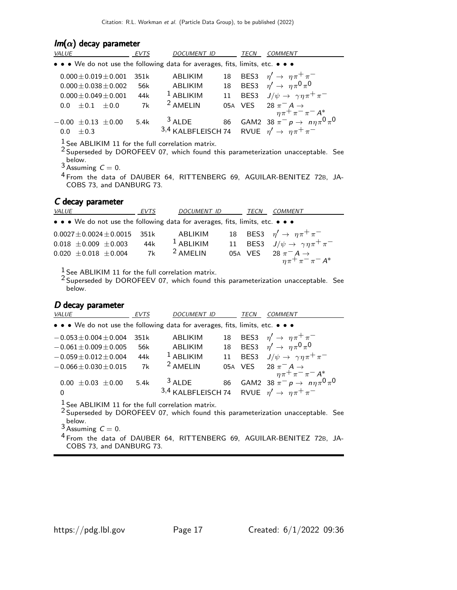| $Im(\alpha)$ decay parameter                                                  |             |                                                              |    |      |                                                                                             |  |  |  |
|-------------------------------------------------------------------------------|-------------|--------------------------------------------------------------|----|------|---------------------------------------------------------------------------------------------|--|--|--|
| <b>VALUE</b>                                                                  | <b>EVTS</b> | DOCUMENT ID                                                  |    | TECN | COMMENT                                                                                     |  |  |  |
| • • • We do not use the following data for averages, fits, limits, etc. • • • |             |                                                              |    |      |                                                                                             |  |  |  |
| $0.000 \pm 0.019 \pm 0.001$                                                   | 351k        | <b>ABLIKIM</b>                                               | 18 |      | BES3 $\eta' \rightarrow \eta \pi^+ \pi^-$                                                   |  |  |  |
| $0.000 + 0.038 + 0.002$                                                       | 56k         | ABLIKIM                                                      |    |      | 18 BES3 $\eta' \to \eta \pi^0 \pi^0$                                                        |  |  |  |
| $0.000 + 0.049 + 0.001$                                                       | 44k         | $1$ ABLIKIM                                                  | 11 |      | BES3 $J/\psi \rightarrow \gamma \eta \pi^+ \pi^-$                                           |  |  |  |
| $0.0 + 0.1 + 0.0$                                                             | 7k          | <sup>2</sup> AMELIN                                          |    |      | 05A VES 28 $\pi^- A \rightarrow \eta \pi^+ \pi^- \pi^- A^*$                                 |  |  |  |
|                                                                               |             |                                                              |    |      |                                                                                             |  |  |  |
| $-0.00 \pm 0.13 \pm 0.00$                                                     | 5.4k        | $3$ ALDE                                                     |    |      | 86 GAM2 38 $\pi^- p \to n \eta \pi^0 \pi^0$                                                 |  |  |  |
| $\pm 0.3$<br>0.0                                                              |             | 3,4 KALBFLEISCH 74 RVUE $\eta' \rightarrow \eta \pi^+ \pi^-$ |    |      |                                                                                             |  |  |  |
| $1$ See ABLIKIM 11 for the full correlation matrix.                           |             |                                                              |    |      | <sup>2</sup> Superseded by DOROFEEV 07, which found this parameterization unacceptable. See |  |  |  |

below.<br><sup>3</sup> Assuming  $C = 0$ .

4 From the data of DAUBER 64, RITTENBERG 69, AGUILAR-BENITEZ 72B, JA-COBS 73, and DANBURG 73.

#### C decay parameter

| <i>VALUE</i>                                                                  | EVTS | <i>DOCUMENT ID</i>  | TECN | COMMENT                                                     |
|-------------------------------------------------------------------------------|------|---------------------|------|-------------------------------------------------------------|
| • • • We do not use the following data for averages, fits, limits, etc. • • • |      |                     |      |                                                             |
| $0.0027 \pm 0.0024 \pm 0.0015$                                                | 351k | ABLIKIM             |      | 18 BES3 $\eta' \rightarrow \eta \pi^+ \pi^-$                |
| $0.018 \pm 0.009 \pm 0.003$                                                   | 44k  | $1$ ABLIKIM         |      | 11 BES3 $J/\psi \rightarrow \gamma \eta \pi^+ \pi^-$        |
| $0.020 \pm 0.018 \pm 0.004$                                                   | 7k   | <sup>2</sup> AMELIN |      | 05A VES 28 $\pi^- A \rightarrow \eta \pi^+ \pi^- \pi^- A^*$ |
|                                                                               |      |                     |      |                                                             |

 $\frac{1}{2}$  See ABLIKIM 11 for the full correlation matrix.

<sup>2</sup> Superseded by DOROFEEV 07, which found this parameterization unacceptable. See below.

#### D decay parameter

| VALUE                                                                         | <b>EVTS</b> | <b>DOCUMENT ID</b>                                                       |    | TECN | COMMENT                                                                  |
|-------------------------------------------------------------------------------|-------------|--------------------------------------------------------------------------|----|------|--------------------------------------------------------------------------|
| • • • We do not use the following data for averages, fits, limits, etc. • • • |             |                                                                          |    |      |                                                                          |
| $-0.053 \pm 0.004 \pm 0.004$                                                  | 351k        | ABLIKIM                                                                  | 18 |      | BES3 $\eta' \rightarrow \eta \pi^+ \pi^-$                                |
| $-0.061 \pm 0.009 \pm 0.005$                                                  | 56k         | ABLIKIM                                                                  | 18 |      | BES3 $\eta' \rightarrow \eta \pi^0 \pi^0$                                |
| $-0.059 \pm 0.012 \pm 0.004$                                                  | 44k         | $1$ ABLIKIM                                                              | 11 |      | BES3 $J/\psi \rightarrow \gamma \eta \pi^+ \pi^-$                        |
| $-0.066 \pm 0.030 \pm 0.015$                                                  | 7k          | <sup>2</sup> AMELIN                                                      |    |      | 05A VES 28 $\pi^- A \rightarrow$                                         |
| $0.00 \pm 0.03 \pm 0.00$<br>0                                                 | 5.4k        | $3$ ALDE<br>3,4 KALBFLEISCH 74 RVUE $\eta' \rightarrow \eta \pi^+ \pi^-$ | 86 |      | $\eta \pi^+ \pi^- \pi^- A^*$<br>GAM2 38 $\pi^- p \to n \eta \pi^0 \pi^0$ |
| $1$ See ABLIKIM 11 for the full correlation matrix.                           |             |                                                                          |    |      |                                                                          |

<sup>2</sup> Superseded by DOROFEEV 07, which found this parameterization unacceptable. See

below.<br><sup>3</sup> Assuming  $C = 0$ .

<sup>4</sup> From the data of DAUBER 64, RITTENBERG 69, AGUILAR-BENITEZ 72B, JA-COBS 73, and DANBURG 73.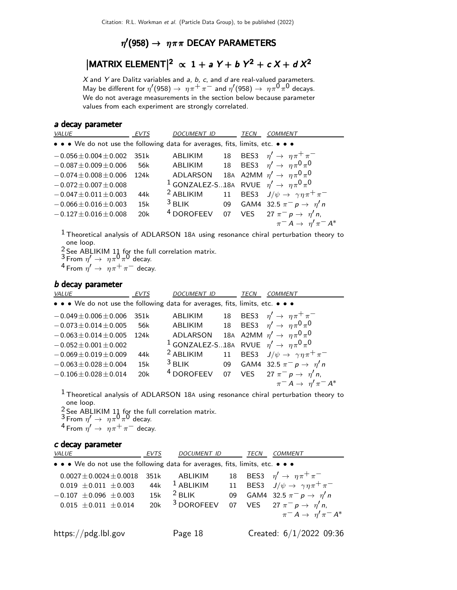### $\eta^\prime(958)\to~\eta\pi\pi$  DECAY PARAMETERS

# $|$ MATRIX ELEMENT $|^2 \propto 1 + aY + bY^2 + cX + dX^2$

 $X$  and  $Y$  are Dalitz variables and  $a$ ,  $b$ ,  $c$ , and  $d$  are real-valued parameters. May be different for  $\eta'(958)\to~\eta\pi^+\pi^-$  and  $\eta'(958)\to~\eta\pi^{\mbox{O}}\pi^{\mbox{O}}$  decays. We do not average measurements in the section below because parameter values from each experiment are strongly correlated.

#### a decay parameter

| VALUE                                                                         | <b>EVTS</b> | <b>DOCUMENT ID</b>                                                   |    | TECN | COMMENT                                           |
|-------------------------------------------------------------------------------|-------------|----------------------------------------------------------------------|----|------|---------------------------------------------------|
| • • • We do not use the following data for averages, fits, limits, etc. • • • |             |                                                                      |    |      |                                                   |
| $-0.056 \pm 0.004 \pm 0.002$                                                  | 351k        | ABLIKIM                                                              | 18 |      | BES3 $\eta' \rightarrow \eta \pi^+ \pi^-$         |
| $-0.087 \pm 0.009 \pm 0.006$                                                  | 56k         | <b>ABLIKIM</b>                                                       | 18 |      | BES3 $\eta' \rightarrow \eta \pi^0 \pi^0$         |
| $-0.074 \pm 0.008 \pm 0.006$                                                  | 124k        | ADLARSON                                                             |    |      | 18A A2MM $\eta' \rightarrow \eta \pi^0 \pi^0$     |
| $-0.072 \pm 0.007 \pm 0.008$                                                  |             | <sup>1</sup> GONZALEZ-S18A RVUE $\eta' \rightarrow \eta \pi^0 \pi^0$ |    |      |                                                   |
| $-0.047 \pm 0.011 \pm 0.003$                                                  | 44k         | <sup>2</sup> ABLIKIM                                                 | 11 |      | BES3 $J/\psi \rightarrow \gamma \eta \pi^+ \pi^-$ |
| $-0.066 \pm 0.016 \pm 0.003$                                                  | 15k         | $3$ BLIK                                                             | 09 |      | GAM4 32.5 $\pi^{-} p \to \eta' n$                 |
| $-0.127 \pm 0.016 \pm 0.008$                                                  | 20k         | <sup>4</sup> DOROFEEV                                                | 07 |      | VES 27 $\pi^ p \rightarrow \eta'$ n,              |
|                                                                               |             |                                                                      |    |      | $\pi^- A \rightarrow \eta' \pi^- A^*$             |

 $<sup>1</sup>$  Theoretical analysis of ADLARSON 18A using resonance chiral perturbation theory to</sup> one loop.

 $\frac{2}{3}$  See ABLIKIM 11 for the full correlation matrix.

 $3$  From  $\eta' \rightarrow \eta \pi^0 \pi^0$  decay.

<sup>4</sup> From  $\eta' \to \eta \pi^+ \pi^-$  decay.

#### b decay parameter

| <b>VALUE</b>                                                                  | <b>EVTS</b> | <b>DOCUMENT ID</b>                                                   |    | TECN | <b>COMMENT</b>                                    |
|-------------------------------------------------------------------------------|-------------|----------------------------------------------------------------------|----|------|---------------------------------------------------|
| • • • We do not use the following data for averages, fits, limits, etc. • • • |             |                                                                      |    |      |                                                   |
| $-0.049 \pm 0.006 \pm 0.006$                                                  | 351k        | <b>ABLIKIM</b>                                                       | 18 |      | BES3 $\eta' \rightarrow \eta \pi^+ \pi^-$         |
| $-0.073 \pm 0.014 \pm 0.005$                                                  | 56k         | <b>ABLIKIM</b>                                                       | 18 |      | BES3 $\eta' \rightarrow \eta \pi^0 \pi^0$         |
| $-0.063 \pm 0.014 \pm 0.005$                                                  | 124k        | ADLARSON                                                             |    |      | 18A A2MM $\eta' \rightarrow \eta \pi^0 \pi^0$     |
| $-0.052 \pm 0.001 \pm 0.002$                                                  |             | <sup>1</sup> GONZALEZ-S18A RVUE $\eta' \rightarrow \eta \pi^0 \pi^0$ |    |      |                                                   |
| $-0.069 \pm 0.019 \pm 0.009$                                                  | 44k         | <sup>2</sup> ABLIKIM                                                 | 11 |      | BES3 $J/\psi \rightarrow \gamma \eta \pi^+ \pi^-$ |
| $-0.063 \pm 0.028 \pm 0.004$                                                  | 15k         | $3$ BLIK                                                             | 09 |      | GAM4 32.5 $\pi^ p \rightarrow \eta'$ n            |
| $-0.106 \pm 0.028 \pm 0.014$                                                  | 20k         | <sup>4</sup> DOROFEEV                                                | 07 |      | VES 27 $\pi^ p \rightarrow \eta'$ n,              |
|                                                                               |             |                                                                      |    |      | $\pi^- A \rightarrow \eta' \pi^- A^*$             |
|                                                                               |             |                                                                      |    |      |                                                   |

 $<sup>1</sup>$  Theoretical analysis of ADLARSON 18A using resonance chiral perturbation theory to</sup> one loop.

 $\frac{2}{3}$  See ABLIKIM 11 for the full correlation matrix.  $3$  From  $\eta' \rightarrow \eta \pi^0 \pi^0$  decay.

<sup>4</sup> From  $\eta' \to \eta \pi^+ \pi^-$  decay.

#### c decay parameter

| VALUE                                                                         |      | <b>DOCUMENT ID</b>    |    | TECN | <b>COMMENT</b>                                       |
|-------------------------------------------------------------------------------|------|-----------------------|----|------|------------------------------------------------------|
| • • • We do not use the following data for averages, fits, limits, etc. • • • |      |                       |    |      |                                                      |
| $0.0027 \pm 0.0024 \pm 0.0018$                                                | 351k | ABLIKIM               |    |      | 18 BES3 $\eta' \rightarrow \eta \pi^+ \pi^-$         |
| $0.019 \pm 0.011 \pm 0.003$                                                   | 44k  | $1$ ABLIKIM           |    |      | 11 BES3 $J/\psi \rightarrow \gamma \eta \pi^+ \pi^-$ |
| $-0.107 \pm 0.096 \pm 0.003$                                                  | 15k  | $2$ BLIK              | 09 |      | GAM4 32.5 $\pi^-$ p $\to \eta'$ n                    |
| $0.015 \pm 0.011 \pm 0.014$                                                   | 20k  | <sup>3</sup> DOROFEEV |    |      | 07 VES 27 $\pi^ p \to \eta'$ n,                      |
|                                                                               |      |                       |    |      | $\pi^- A \rightarrow \eta' \pi^- A^*$                |
| https://pdg.lbl.gov                                                           |      | Page 18               |    |      | Created: $6/1/2022$ 09:36                            |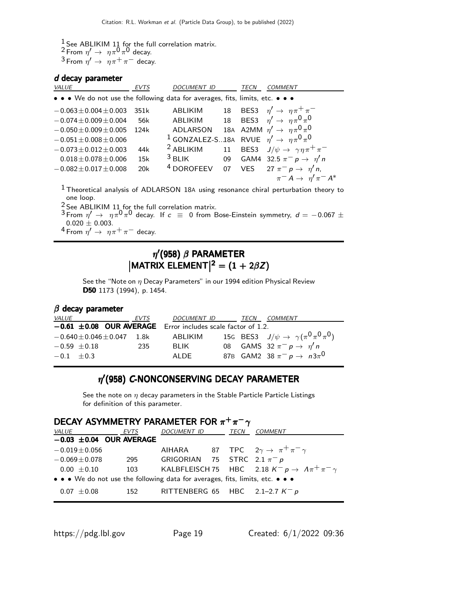$\frac{1}{2}$  See ABLIKIM 11 for the full correlation matrix. <sup>2</sup> From  $\eta' \rightarrow \eta \pi^0 \pi^0$  decay.  $3$  From  $\eta' \to \eta \pi^+ \pi^-$  decay.

#### d decay parameter

| VALUE                                                                         | <b>EVTS</b> | <b>DOCUMENT ID</b>                                                   |    | TECN | <b>COMMENT</b>                                                                         |
|-------------------------------------------------------------------------------|-------------|----------------------------------------------------------------------|----|------|----------------------------------------------------------------------------------------|
| • • • We do not use the following data for averages, fits, limits, etc. • • • |             |                                                                      |    |      |                                                                                        |
| $-0.063 \pm 0.004 \pm 0.003$                                                  | 351k        | <b>ABLIKIM</b>                                                       | 18 |      | BES3 $\eta' \rightarrow \eta \pi^+ \pi^-$                                              |
| $-0.074 \pm 0.009 \pm 0.004$                                                  | 56k         | <b>ABLIKIM</b>                                                       | 18 |      | BES3 $\eta' \rightarrow \eta \pi^0 \pi^0$                                              |
| $-0.050 \pm 0.009 \pm 0.005$                                                  | 124k        | ADLARSON                                                             |    |      | 18A A2MM $\eta' \rightarrow \eta \pi^0 \pi^0$                                          |
| $-0.051 \pm 0.008 \pm 0.006$                                                  |             | <sup>1</sup> GONZALEZ-S18A RVUE $\eta' \rightarrow \eta \pi^0 \pi^0$ |    |      |                                                                                        |
| $-0.073 \pm 0.012 \pm 0.003$                                                  | 44k         | <sup>2</sup> ABLIKIM                                                 | 11 |      | BES3 $J/\psi \rightarrow \gamma \eta \pi^+ \pi^-$                                      |
| $0.018 \pm 0.078 \pm 0.006$                                                   | 15k         | $3$ BLIK                                                             | 09 |      | GAM4 32.5 $\pi^-$ p $\rightarrow \eta'$ n                                              |
| $-0.082 \pm 0.017 \pm 0.008$                                                  | 20k         | <sup>4</sup> DOROFEEV                                                | 07 |      | VES 27 $\pi^ p \rightarrow \eta'$ n,                                                   |
|                                                                               |             |                                                                      |    |      | $\pi^- A \rightarrow \eta' \pi^- A^*$                                                  |
|                                                                               |             |                                                                      |    |      | $1$ Theoretical analysis of ADLARSON 18A using resonance chiral perturbation theory to |

one loop.

 $\frac{2}{3}$  See ABLIKIM 11 for the full correlation matrix.

 $3$  From  $\eta' \to \eta \pi^0 \pi^0$  decay. If  $c \equiv 0$  from Bose-Einstein symmetry,  $d = -0.067 \pm 1$  $0.020 \pm 0.003$ .

 $^4$  From  $\eta' \rightarrow \eta \pi^+ \pi^-$  decay.

## $\eta^\prime$ (958)  $\beta$  PARAMETER  $|$ MATRIX ELEMENT $|^{2}=(1+2\beta Z)$

See the "Note on  $\eta$  Decay Parameters" in our 1994 edition Physical Review D50 1173 (1994), p. 1454.

#### $\beta$  decay parameter

| <i>VALUE</i> |                                   | EVTS | DOCUMENT ID TECN COMMENT                                         |  |                                                  |
|--------------|-----------------------------------|------|------------------------------------------------------------------|--|--------------------------------------------------|
|              |                                   |      | $-0.61 \pm 0.08$ OUR AVERAGE Error includes scale factor of 1.2. |  |                                                  |
|              | $-0.640 \pm 0.046 \pm 0.047$ 1.8k |      | ABLIKIM                                                          |  | 15G BES3 $J/\psi \to \gamma (\pi^0 \pi^0 \pi^0)$ |
|              | $-0.59 \pm 0.18$                  | -235 | BI IK                                                            |  | 08 GAMS 32 $\pi^ p \rightarrow \eta'$ n          |
| $-0.1 + 0.3$ |                                   |      | ALDE                                                             |  | 87B GAM2 38 $\pi^- p \to n3\pi^0$                |

### $\eta'$ (958) C-NONCONSERVING DECAY PARAMETER

See the note on  $\eta$  decay parameters in the Stable Particle Particle Listings for definition of this parameter.

| DECAY ASYMMETRY PARAMETER FOR $\pi^+\pi^-\gamma$ |                                                                               |                                       |  |  |                                                                                                         |  |  |
|--------------------------------------------------|-------------------------------------------------------------------------------|---------------------------------------|--|--|---------------------------------------------------------------------------------------------------------|--|--|
|                                                  | <i>VALUE</i> EVTS                                                             | DOCUMENT ID TECN COMMENT              |  |  |                                                                                                         |  |  |
|                                                  | $-0.03 \pm 0.04$ OUR AVERAGE                                                  |                                       |  |  |                                                                                                         |  |  |
| $-0.019 \pm 0.056$                               |                                                                               |                                       |  |  | AIHARA 87 TPC $2\gamma \rightarrow \pi^+ \pi^- \gamma$                                                  |  |  |
| $-0.069 \pm 0.078$                               |                                                                               | 295 GRIGORIAN 75 STRC $2.1 \pi^- p$   |  |  |                                                                                                         |  |  |
|                                                  |                                                                               |                                       |  |  | 0.00 $\pm$ 0.10 103 KALBFLEISCH 75 HBC 2.18 K <sup>-</sup> p $\rightarrow$ $\Lambda \pi^+ \pi^- \gamma$ |  |  |
|                                                  | • • • We do not use the following data for averages, fits, limits, etc. • • • |                                       |  |  |                                                                                                         |  |  |
| $0.07 \pm 0.08$                                  |                                                                               | 152 RITTENBERG 65 HBC 2.1-2.7 $K^- p$ |  |  |                                                                                                         |  |  |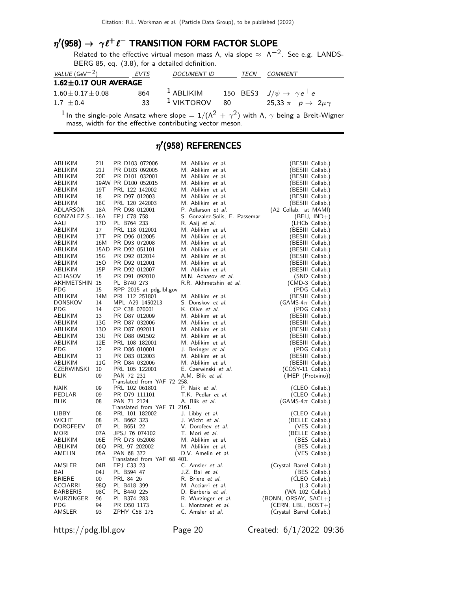### $\eta'(958) \rightarrow \gamma \ell^+ \ell^-$  TRANSITION FORM FACTOR SLOPE

Related to the effective virtual meson mass  $\Lambda$ , via slope  $\approx \Lambda^{-2}$ . See e.g. LANDS-BERG 85, eq. (3.8), for a detailed definition.

| VALUE (GeV <sup>-2</sup> )  | EVTS | <b>DOCUMENT ID</b> | TECN | COMMENT                                     |
|-----------------------------|------|--------------------|------|---------------------------------------------|
| $1.62 \pm 0.17$ OUR AVERAGE |      |                    |      |                                             |
| $1.60 \pm 0.17 \pm 0.08$    | 864  | $^1$ ABLIKIM       |      | 150 BES3 $J/\psi \rightarrow \gamma e^+e^-$ |
| $1.7 + 0.4$                 | २२   | $1$ VIKTOROV       | -80  | 25,33 $\pi^- p \to 2\mu\gamma$              |

 $^1$ In the single-pole Ansatz where slope  $=1/(\Lambda^2\,+\,\gamma^2)$  with  $\Lambda,\,\gamma$  being a Breit-Wigner mass, width for the effective contributing vector meson.

### $\eta^\prime$ (958) REFERENCES

| ABLIKIM         | 211             | PR D103 072006               | M. Ablikim <i>et al.</i>       | (BESIII Collab.)         |
|-----------------|-----------------|------------------------------|--------------------------------|--------------------------|
| ABLIKIM         | 21 J            | PR D103 092005               | M. Ablikim et al.              | (BESIII Collab.)         |
| ABLIKIM         | 20E             | PR D101 032001               | M. Ablikim et al.              | (BESIII Collab.)         |
| ABLIKIM         |                 | 19AW PR D100 052015          | M. Ablikim <i>et al.</i>       | (BESIII Collab.)         |
| ABLIKIM         | 19T             | PRL 122 142002               | M. Ablikim et al.              | (BESIII Collab.)         |
| ABLIKIM         | 18              | PR D97 012003                | M. Ablikim et al.              | (BESIII Collab.)         |
| ABLIKIM         | 18C             | PRL 120 242003               | M. Ablikim et al.              | (BESIII Collab.)         |
| ADLARSON        | 18A             | PR D98 012001                | P. Adlarson et al.             | (A2 Collab. at MAMI)     |
| GONZALEZ-S 18A  |                 | EPJ C78 758                  | S. Gonzalez-Solis, E. Passemar | $(BEI, IND+)$            |
| AAIJ            | 17 <sub>D</sub> | PL B764 233                  | R. Aaij et al.                 | (LHCb Collab.)           |
| ABLIKIM         | 17              | PRL 118 012001               | M. Ablikim et al.              | (BESIII Collab.)         |
| ABLIKIM         | 17T             | PR D96 012005                | M. Ablikim et al.              | (BESIII Collab.)         |
| ABLIKIM         | 16M             | PR D93 072008                | M. Ablikim et al.              | (BESIII Collab.)         |
| ABLIKIM         |                 | 15AD PR D92 051101           | M. Ablikim et al.              | (BESIII Collab.)         |
| ABLIKIM         | 15G             | PR D92 012014                | M. Ablikim et al.              | (BESIII Collab.)         |
| ABLIKIM         | 150             | PR D92 012001                | M. Ablikim et al.              | (BESIII Collab.)         |
| ABLIKIM         | 15P             | PR D92 012007                | M. Ablikim et al.              |                          |
| <b>ACHASOV</b>  | 15              | PR D91 092010                | M.N. Achasov et al.            | (BESIII Collab.)         |
|                 |                 |                              |                                | (SND Collab.)            |
| AKHMETSHIN 15   |                 | PL B740 273                  | R.R. Akhmetshin et al.         | (CMD-3 Collab.)          |
| PDG             | 15              | RPP 2015 at pdg.Ibl.gov      |                                | (PDG Collab.)            |
| ABLIKIM         | 14M             | PRL 112 251801               | M. Ablikim et al.              | (BESIII Collab.)         |
| DONSKOV         | 14              | MPL A29 1450213              | S. Donskov et al.              | (GAMS-4 $\pi$ Collab.)   |
| PDG             | 14              | CP C38 070001                | K. Olive et al.                | (PDG Collab.)            |
| ABLIKIM         | 13              | PR D87 012009                | M. Ablikim et al.              | (BESIII Collab.)         |
| ABLIKIM         | 13G             | PR D87 032006                | M. Ablikim et al.              | (BESIII Collab.)         |
| ABLIKIM         | 130             | PR D87 092011                | M. Ablikim et al.              | (BESIII Collab.)         |
| ABLIKIM         | 13U             | PR D88 091502                | M. Ablikim et al.              | (BESIII Collab.)         |
| ABLIKIM         | 12E             | PRL 108 182001               | M. Ablikim et al.              | (BESIII Collab.)         |
| PDG             | 12              | PR D86 010001                | J. Beringer et al.             | (PDG Collab.)            |
| ABLIKIM         | 11              | PR D83 012003                | M. Ablikim et al.              | (BESIII Collab.)         |
| ABLIKIM         | 11G             | PR D84 032006                | M. Ablikim et al.              | (BESIII Collab.)         |
| CZERWINSKI      | 10              | PRL 105 122001               | E. Czerwinski et al.           | $(COSY-11$ Collab.)      |
| BLIK            | 09              | PAN 72 231                   | A.M. Blik et al.               | (IHEP (Protvino))        |
|                 |                 | Translated from YAF 72 258.  |                                |                          |
| NAIK            | 09              | PRL 102 061801               | P. Naik et al.                 | (CLEO Collab.)           |
| PEDLAR          | 09              | PR D79 111101                | T.K. Pedlar et al.             | (CLEO Collab.)           |
| <b>BLIK</b>     | 08              | PAN 71 2124                  | A. Blik et al.                 | $(GAMS-4\pi$ Collab.)    |
|                 |                 | Translated from YAF 71 2161. |                                |                          |
| LIBBY           | 08              | PRL 101 182002               | J. Libby et al.                | (CLEO Collab.)           |
| <b>WICHT</b>    | 08              | PL B662 323                  | J. Wicht et al.                | (BELLE Collab.)          |
| <b>DOROFEEV</b> | 07              | PL B651 22                   | V. Dorofeev et al.             | (VES Collab.)            |
| MORI            | 07A             | JPSJ 76 074102               | T. Mori et al.                 | (BELLE Collab.)          |
| ABLIKIM         | 06E             | PR D73 052008                | M. Ablikim et al.              | (BES Collab.)            |
| ABLIKIM         | 06Q             | PRL 97 202002                | M. Ablikim et al.              | (BES Collab.)            |
| AMELIN          | 05A             | PAN 68 372                   | D.V. Amelin et al.             | (VES Collab.)            |
|                 |                 | Translated from YAF 68 401.  |                                |                          |
| AMSLER          | 04B             | EPJ C33 23                   | C. Amsler et al.               | (Crystal Barrel Collab.) |
| BAI             | 04 J            | PL B594 47                   | J.Z. Bai et al.                | (BES Collab.)            |
| <b>BRIERE</b>   | $00\,$          | PRL 84 26                    | R. Briere et al.               | (CLEO Collab.)           |
| ACCIARRI        | 98Q             | PL B418 399                  | M. Acciarri et al.             | $(L3$ Collab.)           |
| <b>BARBERIS</b> | 98C             | PL B440 225                  | D. Barberis et al.             | (WA 102 Collab.)         |
| WURZINGER       | 96              | PL B374 283                  | R. Wurzinger et al.            | $(BONN, ORSAY, SACL+)$   |
| PDG             | 94              | PR D50 1173                  | L. Montanet et al.             | (CERN, LBL, BOST+)       |
| AMSLER          | 93              | ZPHY C58 175                 | C. Amsler et al.               | (Crystal Barrel Collab.) |

https://pdg.lbl.gov Page 20 Created: 6/1/2022 09:36